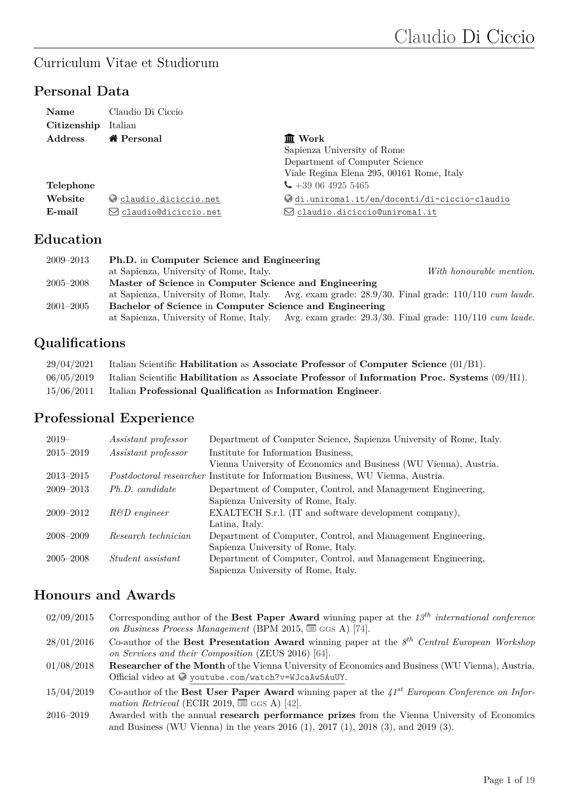## Curriculum Vitae et Studiorum

## **Personal Data**

| <b>Name</b><br>Citizenship | Claudio Di Ciccio<br>Italian   |                                              |
|----------------------------|--------------------------------|----------------------------------------------|
| <b>Address</b>             | <i>K</i> Personal              | <b>血</b> Work                                |
|                            |                                | Sapienza University of Rome                  |
|                            |                                | Department of Computer Science               |
|                            |                                | Viale Regina Elena 295, 00161 Rome, Italy    |
| Telephone                  |                                | $\leftarrow$ +39 06 4925 5465                |
| Website                    | C claudio.diciccio.net         | Odi.uniroma1.it/en/docenti/di-ciccio-claudio |
| E-mail                     | $\boxdot$ claudio@diciccio.net | $\boxdot$ claudio.diciccio@uniroma1.it       |

### **Education**

| $2009 - 2013$ | Ph.D. in Computer Science and Engineering                                                              |  |
|---------------|--------------------------------------------------------------------------------------------------------|--|
|               | at Sapienza, University of Rome, Italy.<br>With honourable mention.                                    |  |
| $2005 - 2008$ | Master of Science in Computer Science and Engineering                                                  |  |
|               | at Sapienza, University of Rome, Italy. Avg. exam grade: $28.9/30$ . Final grade: $110/110$ cum laude. |  |
| $2001 - 2005$ | Bachelor of Science in Computer Science and Engineering                                                |  |
|               | at Sapienza, University of Rome, Italy. Avg. exam grade: $29.3/30$ . Final grade: $110/110$ cum laude. |  |

# **Qualifications**

| 29/04/2021 | Italian Scientific Habilitation as Associate Professor of Computer Science $(01/B1)$ .          |
|------------|-------------------------------------------------------------------------------------------------|
| 06/05/2019 | Italian Scientific Habilitation as Associate Professor of Information Proc. Systems $(09/H1)$ . |
| 15/06/2011 | Italian Professional Qualification as Information Engineer.                                     |

# **Professional Experience**

| $2019-$       | <i>Assistant professor</i> | Department of Computer Science, Sapienza University of Rome, Italy.                    |
|---------------|----------------------------|----------------------------------------------------------------------------------------|
| $2015 - 2019$ | Assistant professor        | Institute for Information Business,                                                    |
|               |                            | Vienna University of Economics and Business (WU Vienna), Austria.                      |
| $2013 - 2015$ |                            | <i>Postdoctoral researcher</i> Institute for Information Business, WU Vienna, Austria. |
| $2009 - 2013$ | Ph.D. candidate            | Department of Computer, Control, and Management Engineering,                           |
|               |                            | Sapienza University of Rome, Italy.                                                    |
| $2009 - 2012$ | $R\&D$ engineer            | EXALTECH S.r.l. (IT and software development company),                                 |
|               |                            | Latina, Italy.                                                                         |
| 2008-2009     | Research technician        | Department of Computer, Control, and Management Engineering,                           |
|               |                            | Sapienza University of Rome, Italy.                                                    |
| $2005 - 2008$ | <i>Student assistant</i>   | Department of Computer, Control, and Management Engineering,                           |
|               |                            | Sapienza University of Rome, Italy.                                                    |

### **Honours and Awards**

| 02/09/2015    | Corresponding author of the Best Paper Award winning paper at the $13^{th}$ international conference<br>on Business Process Management (BPM 2015, $\equiv$ GGS A) [74].                  |
|---------------|------------------------------------------------------------------------------------------------------------------------------------------------------------------------------------------|
| 28/01/2016    | Co-author of the Best Presentation Award winning paper at the $8^{th}$ Central European Workshop<br>on Services and their Composition (ZEUS 2016) [64].                                  |
| 01/08/2018    | <b>Researcher of the Month</b> of the Vienna University of Economics and Business (WU Vienna), Austria.<br>Official video at $\odot$ youtube.com/watch?v=WJcaAw5AuUY.                    |
| 15/04/2019    | Co-author of the Best User Paper Award winning paper at the $41^{st}$ European Conference on Infor-<br>mation Retrieval (ECIR 2019, $\equiv$ GGS A) [42].                                |
| $2016 - 2019$ | Awarded with the annual research performance prizes from the Vienna University of Economics<br>and Business (WU Vienna) in the years $2016$ (1), $2017$ (1), $2018$ (3), and $2019$ (3). |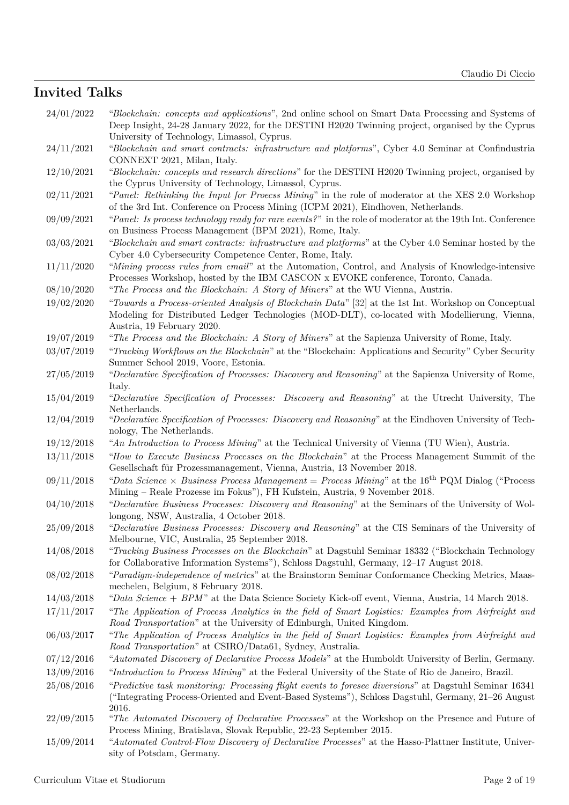## **Invited Talks**

| 24/01/2022               | "Blockchain: concepts and applications", 2nd online school on Smart Data Processing and Systems of<br>Deep Insight, 24-28 January 2022, for the DESTINI H2020 Twinning project, organised by the Cyprus                       |
|--------------------------|-------------------------------------------------------------------------------------------------------------------------------------------------------------------------------------------------------------------------------|
| 24/11/2021               | University of Technology, Limassol, Cyprus.<br>"Blockchain and smart contracts: infrastructure and platforms", Cyber 4.0 Seminar at Confindustria<br>CONNEXT 2021, Milan, Italy.                                              |
| 12/10/2021               | "Blockchain: concepts and research directions" for the DESTINI H2020 Twinning project, organised by<br>the Cyprus University of Technology, Limassol, Cyprus.                                                                 |
| 02/11/2021               | "Panel: Rethinking the Input for Process Mining" in the role of moderator at the XES 2.0 Workshop<br>of the 3rd Int. Conference on Process Mining (ICPM 2021), Eindhoven, Netherlands.                                        |
| 09/09/2021               | "Panel: Is process technology ready for rare events?" in the role of moderator at the 19th Int. Conference<br>on Business Process Management (BPM 2021), Rome, Italy.                                                         |
| 03/03/2021               | "Blockchain and smart contracts: infrastructure and platforms" at the Cyber 4.0 Seminar hosted by the<br>Cyber 4.0 Cybersecurity Competence Center, Rome, Italy.                                                              |
| 11/11/2020               | "Mining process rules from email" at the Automation, Control, and Analysis of Knowledge-intensive<br>Processes Workshop, hosted by the IBM CASCON x EVOKE conference, Toronto, Canada.                                        |
| 08/10/2020               | "The Process and the Blockchain: A Story of Miners" at the WU Vienna, Austria.                                                                                                                                                |
| 19/02/2020               | "Towards a Process-oriented Analysis of Blockchain Data" [32] at the 1st Int. Workshop on Conceptual<br>Modeling for Distributed Ledger Technologies (MOD-DLT), co-located with Modellierung, Vienna,                         |
|                          | Austria, 19 February 2020.                                                                                                                                                                                                    |
| 19/07/2019               | "The Process and the Blockchain: A Story of Miners" at the Sapienza University of Rome, Italy.                                                                                                                                |
| 03/07/2019               | "Tracking Workflows on the Blockchain" at the "Blockchain: Applications and Security" Cyber Security<br>Summer School 2019, Voore, Estonia.                                                                                   |
| 27/05/2019               | "Declarative Specification of Processes: Discovery and Reasoning" at the Sapienza University of Rome,                                                                                                                         |
|                          | Italy.                                                                                                                                                                                                                        |
| 15/04/2019               | "Declarative Specification of Processes: Discovery and Reasoning" at the Utrecht University, The<br>Netherlands.                                                                                                              |
| 12/04/2019               | "Declarative Specification of Processes: Discovery and Reasoning" at the Eindhoven University of Tech-<br>nology, The Netherlands.                                                                                            |
|                          |                                                                                                                                                                                                                               |
|                          |                                                                                                                                                                                                                               |
| 19/12/2018<br>13/11/2018 | "An Introduction to Process Mining" at the Technical University of Vienna (TU Wien), Austria.<br>"How to Execute Business Processes on the Blockchain" at the Process Management Summit of the                                |
| 09/11/2018               | Gesellschaft für Prozessmanagement, Vienna, Austria, 13 November 2018.<br>"Data Science $\times$ Business Process Management = Process Mining" at the 16 <sup>th</sup> PQM Dialog ("Process")                                 |
| 04/10/2018               | Mining - Reale Prozesse im Fokus"), FH Kufstein, Austria, 9 November 2018.<br>"Declarative Business Processes: Discovery and Reasoning" at the Seminars of the University of Wol-<br>longong, NSW, Australia, 4 October 2018. |
| 25/09/2018               | "Declarative Business Processes: Discovery and Reasoning" at the CIS Seminars of the University of<br>Melbourne, VIC, Australia, 25 September 2018.                                                                           |
| 14/08/2018               | "Tracking Business Processes on the Blockchain" at Dagstuhl Seminar 18332 ("Blockchain Technology"<br>for Collaborative Information Systems"), Schloss Dagstuhl, Germany, 12-17 August 2018.                                  |
| 08/02/2018               | "Paradigm-independence of metrics" at the Brainstorm Seminar Conformance Checking Metrics, Maas-<br>mechelen, Belgium, 8 February 2018.                                                                                       |
| 14/03/2018               | "Data Science $+$ BPM" at the Data Science Society Kick-off event, Vienna, Austria, 14 March 2018.                                                                                                                            |
| 17/11/2017               | "The Application of Process Analytics in the field of Smart Logistics: Examples from Airfreight and<br>Road Transportation" at the University of Edinburgh, United Kingdom.                                                   |
| 06/03/2017               | "The Application of Process Analytics in the field of Smart Logistics: Examples from Airfreight and<br>Road Transportation" at CSIRO/Data61, Sydney, Australia.                                                               |
| 07/12/2016               | "Automated Discovery of Declarative Process Models" at the Humboldt University of Berlin, Germany.                                                                                                                            |
|                          | "Introduction to Process Mining" at the Federal University of the State of Rio de Janeiro, Brazil.                                                                                                                            |
| 13/09/2016               |                                                                                                                                                                                                                               |
| 25/08/2016               | "Predictive task monitoring: Processing flight events to foresee diversions" at Dagstuhl Seminar 16341<br>("Integrating Process-Oriented and Event-Based Systems"), Schloss Dagstuhl, Germany, 21–26 August                   |
| 22/09/2015               | 2016.<br>"The Automated Discovery of Declarative Processes" at the Workshop on the Presence and Future of<br>Process Mining, Bratislava, Slovak Republic, 22-23 September 2015.                                               |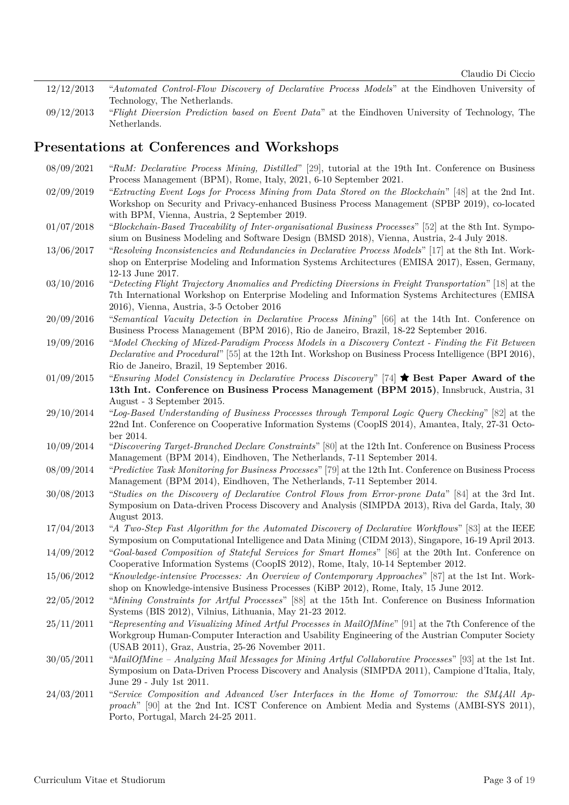- 12/12/2013 "*Automated Control-Flow Discovery of Declarative Process Models*" at the Eindhoven University of Technology, The Netherlands.
- 09/12/2013 "*Flight Diversion Prediction based on Event Data*" at the Eindhoven University of Technology, The Netherlands.

#### **Presentations at Conferences and Workshops**

08/09/2021 "*RuM: Declarative Process Mining, Distilled*" [\[29\]](#page-11-1), tutorial at the 19th Int. Conference on Business Process Management (BPM), Rome, Italy, 2021, 6-10 September 2021. 02/09/2019 "*Extracting Event Logs for Process Mining from Data Stored on the Blockchain*" [\[48\]](#page-13-0) at the 2nd Int. Workshop on Security and Privacy-enhanced Business Process Management (SPBP 2019), co-located with BPM, Vienna, Austria, 2 September 2019. 01/07/2018 "*Blockchain-Based Traceability of Inter-organisational Business Processes*" [\[52\]](#page-13-1) at the 8th Int. Symposium on Business Modeling and Software Design (BMSD 2018), Vienna, Austria, 2-4 July 2018. 13/06/2017 "*Resolving Inconsistencies and Redundancies in Declarative Process Models*" [\[17\]](#page-10-0) at the 8th Int. Workshop on Enterprise Modeling and Information Systems Architectures (EMISA 2017), Essen, Germany, 12-13 June 2017. 03/10/2016 "*Detecting Flight Trajectory Anomalies and Predicting Diversions in Freight Transportation*" [\[18\]](#page-10-1) at the 7th International Workshop on Enterprise Modeling and Information Systems Architectures (EMISA 2016), Vienna, Austria, 3-5 October 2016 20/09/2016 "*Semantical Vacuity Detection in Declarative Process Mining*" [\[66\]](#page-14-1) at the 14th Int. Conference on Business Process Management (BPM 2016), Rio de Janeiro, Brazil, 18-22 September 2016. 19/09/2016 "*Model Checking of Mixed-Paradigm Process Models in a Discovery Context - Finding the Fit Between Declarative and Procedural*" [\[55\]](#page-13-2) at the 12th Int. Workshop on Business Process Intelligence (BPI 2016), Rio de Janeiro, Brazil, 19 September 2016. 01/09/2015 "*Ensuring Model Consistency in Declarative Process Discovery*" [\[74\]](#page-15-0) � **Best Paper Award of the 13th Int. Conference on Business Process Management (BPM 2015)**, Innsbruck, Austria, 31 August - 3 September 2015. 29/10/2014 "*Log-Based Understanding of Business Processes through Temporal Logic Query Checking*" [\[82\]](#page-16-0) at the 22nd Int. Conference on Cooperative Information Systems (CoopIS 2014), Amantea, Italy, 27-31 October 2014. 10/09/2014 "*Discovering Target-Branched Declare Constraints*" [\[80\]](#page-16-1) at the 12th Int. Conference on Business Process Management (BPM 2014), Eindhoven, The Netherlands, 7-11 September 2014. 08/09/2014 "*Predictive Task Monitoring for Business Processes*" [\[79\]](#page-16-2) at the 12th Int. Conference on Business Process Management (BPM 2014), Eindhoven, The Netherlands, 7-11 September 2014. 30/08/2013 "*Studies on the Discovery of Declarative Control Flows from Error-prone Data*" [\[84\]](#page-16-3) at the 3rd Int. Symposium on Data-driven Process Discovery and Analysis (SIMPDA 2013), Riva del Garda, Italy, 30 August 2013. 17/04/2013 "*A Two-Step Fast Algorithm for the Automated Discovery of Declarative Workflows*" [\[83\]](#page-16-4) at the IEEE Symposium on Computational Intelligence and Data Mining (CIDM 2013), Singapore, 16-19 April 2013. 14/09/2012 "*Goal-based Composition of Stateful Services for Smart Homes*" [\[86\]](#page-16-5) at the 20th Int. Conference on Cooperative Information Systems (CoopIS 2012), Rome, Italy, 10-14 September 2012. 15/06/2012 "*Knowledge-intensive Processes: An Overview of Contemporary Approaches*" [\[87\]](#page-16-6) at the 1st Int. Workshop on Knowledge-intensive Business Processes (KiBP 2012), Rome, Italy, 15 June 2012. 22/05/2012 "*Mining Constraints for Artful Processes*" [\[88\]](#page-16-7) at the 15th Int. Conference on Business Information Systems (BIS 2012), Vilnius, Lithuania, May 21-23 2012. 25/11/2011 "*Representing and Visualizing Mined Artful Processes in MailOfMine*" [\[91\]](#page-17-0) at the 7th Conference of the Workgroup Human-Computer Interaction and Usability Engineering of the Austrian Computer Society (USAB 2011), Graz, Austria, 25-26 November 2011. 30/05/2011 "*MailOfMine – Analyzing Mail Messages for Mining Artful Collaborative Processes*" [\[93\]](#page-17-1) at the 1st Int. Symposium on Data-Driven Process Discovery and Analysis (SIMPDA 2011), Campione d'Italia, Italy, June 29 - July 1st 2011. 24/03/2011 "*Service Composition and Advanced User Interfaces in the Home of Tomorrow: the SM4All Approach*" [\[90\]](#page-17-2) at the 2nd Int. ICST Conference on Ambient Media and Systems (AMBI-SYS 2011),

Porto, Portugal, March 24-25 2011.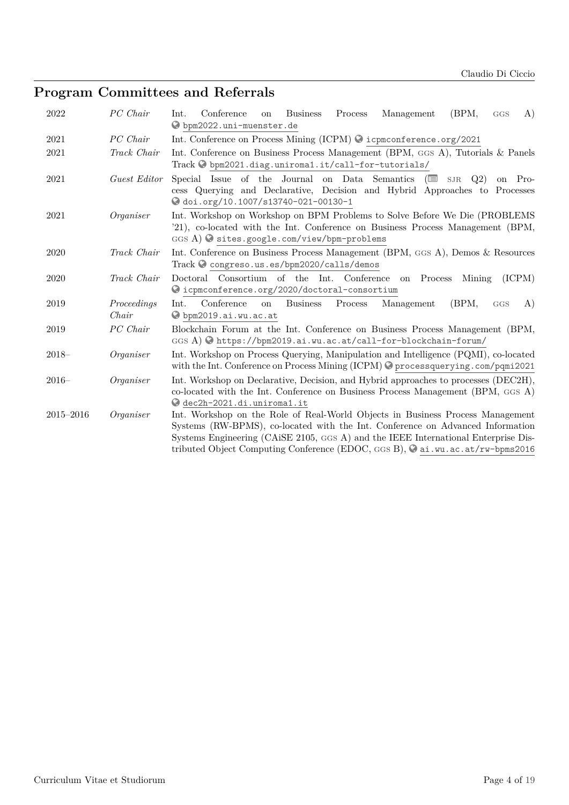# **Program Committees and Referrals**

| 2022      | PC Chair             | (BPM,<br>Conference<br><b>Business</b><br>Process<br>Management<br>A)<br>Int.<br>on<br>GGS<br>O bpm2022.uni-muenster.de                                                                                                                                                                                                                       |
|-----------|----------------------|-----------------------------------------------------------------------------------------------------------------------------------------------------------------------------------------------------------------------------------------------------------------------------------------------------------------------------------------------|
| 2021      | PC Chair             | Int. Conference on Process Mining (ICPM) @ icpmconference.org/2021                                                                                                                                                                                                                                                                            |
| 2021      | Track Chair          | Int. Conference on Business Process Management (BPM, GGS A), Tutorials & Panels<br>Track © bpm2021.diag.uniroma1.it/call-for-tutorials/                                                                                                                                                                                                       |
| 2021      | Guest Editor         | Special Issue of the Journal on Data Semantics $(\equiv s \text{ s})$<br>on Pro-<br>cess Querying and Declarative, Decision and Hybrid Approaches to Processes<br>odoi.org/10.1007/s13740-021-00130-1                                                                                                                                         |
| 2021      | Organiser            | Int. Workshop on Workshop on BPM Problems to Solve Before We Die (PROBLEMS)<br>'21), co-located with the Int. Conference on Business Process Management (BPM,<br>$GGS A)$ sites.google.com/view/bpm-problems                                                                                                                                  |
| 2020      | Track Chair          | Int. Conference on Business Process Management (BPM, GGS A), Demos & Resources<br>Track Congreso.us.es/bpm2020/calls/demos                                                                                                                                                                                                                    |
| 2020      | Track Chair          | Doctoral Consortium of the Int. Conference on Process<br>(ICPM)<br>Mining<br>© icpmconference.org/2020/doctoral-consortium                                                                                                                                                                                                                    |
| 2019      | Proceedings<br>Chair | Conference<br><b>Business</b><br>Process<br>Management<br>(BPM,<br>Int.<br>A)<br><b>on</b><br>GGS<br>Obpm2019.ai.wu.ac.at                                                                                                                                                                                                                     |
| 2019      | PC Chair             | Blockchain Forum at the Int. Conference on Business Process Management (BPM,<br>GGS A) Ohttps://bpm2019.ai.wu.ac.at/call-for-blockchain-forum/                                                                                                                                                                                                |
| $2018 -$  | Organiser            | Int. Workshop on Process Querying, Manipulation and Intelligence (PQMI), co-located<br>with the Int. Conference on Process Mining (ICPM) C processquerying.com/pqmi2021                                                                                                                                                                       |
| $2016 -$  | Organiser            | Int. Workshop on Declarative, Decision, and Hybrid approaches to processes (DEC2H),<br>co-located with the Int. Conference on Business Process Management (BPM, GGS A)<br>dec2h-2021.di.uniroma1.it                                                                                                                                           |
| 2015-2016 | Organiser            | Int. Workshop on the Role of Real-World Objects in Business Process Management<br>Systems (RW-BPMS), co-located with the Int. Conference on Advanced Information<br>Systems Engineering (CAISE 2105, GGS A) and the IEEE International Enterprise Dis-<br>tributed Object Computing Conference (EDOC, GGS B), $\odot$ ai.wu.ac.at/rw-bpms2016 |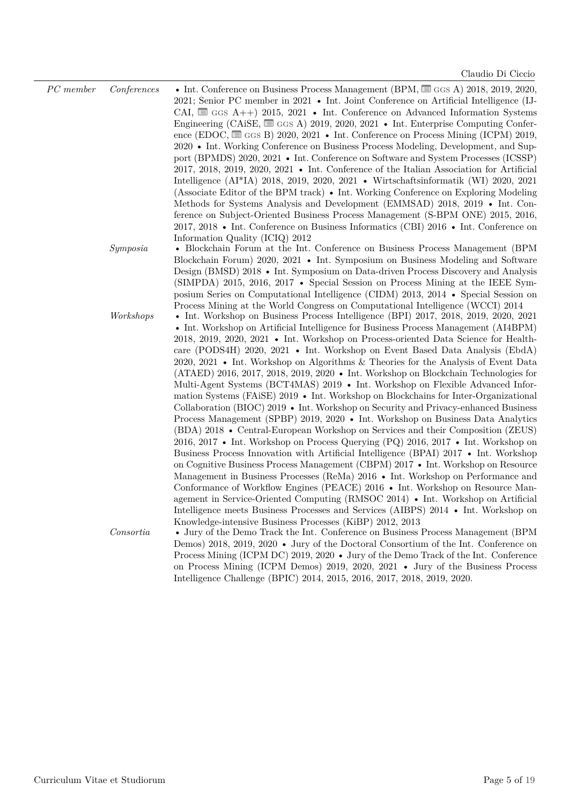| $PC$ member | Conferences | • Int. Conference on Business Process Management (BPM, $\equiv$ GGS A) 2018, 2019, 2020,<br>2021; Senior PC member in 2021 • Int. Joint Conference on Artificial Intelligence (IJ-<br>CAI, $\equiv$ GGS A++) 2015, 2021 • Int. Conference on Advanced Information Systems<br>Engineering (CAiSE, $\equiv$ GGs A) 2019, 2020, 2021 • Int. Enterprise Computing Confer-<br>ence (EDOC, $\equiv$ GGs B) 2020, 2021 • Int. Conference on Process Mining (ICPM) 2019,<br>2020 • Int. Working Conference on Business Process Modeling, Development, and Sup-<br>port (BPMDS) 2020, 2021 • Int. Conference on Software and System Processes (ICSSP)<br>2017, 2018, 2019, 2020, 2021 • Int. Conference of the Italian Association for Artificial<br>Intelligence (AI*IA) 2018, 2019, 2020, 2021 • Wirtschaftsinformatik (WI) 2020, 2021<br>(Associate Editor of the BPM track) • Int. Working Conference on Exploring Modeling<br>Methods for Systems Analysis and Development (EMMSAD) 2018, 2019 • Int. Con-<br>ference on Subject-Oriented Business Process Management (S-BPM ONE) 2015, 2016,<br>2017, 2018 • Int. Conference on Business Informatics (CBI) 2016 • Int. Conference on                                                                                                                                                                                                                                                                                                                                                                                                                                                                             |
|-------------|-------------|---------------------------------------------------------------------------------------------------------------------------------------------------------------------------------------------------------------------------------------------------------------------------------------------------------------------------------------------------------------------------------------------------------------------------------------------------------------------------------------------------------------------------------------------------------------------------------------------------------------------------------------------------------------------------------------------------------------------------------------------------------------------------------------------------------------------------------------------------------------------------------------------------------------------------------------------------------------------------------------------------------------------------------------------------------------------------------------------------------------------------------------------------------------------------------------------------------------------------------------------------------------------------------------------------------------------------------------------------------------------------------------------------------------------------------------------------------------------------------------------------------------------------------------------------------------------------------------------------------------------------------------------------------------|
|             | Symposia    | Information Quality (ICIQ) 2012<br>• Blockchain Forum at the Int. Conference on Business Process Management (BPM)<br>Blockchain Forum) 2020, 2021 • Int. Symposium on Business Modeling and Software                                                                                                                                                                                                                                                                                                                                                                                                                                                                                                                                                                                                                                                                                                                                                                                                                                                                                                                                                                                                                                                                                                                                                                                                                                                                                                                                                                                                                                                          |
|             |             | Design (BMSD) 2018 • Int. Symposium on Data-driven Process Discovery and Analysis<br>(SIMPDA) 2015, 2016, 2017 • Special Session on Process Mining at the IEEE Sym-<br>posium Series on Computational Intelligence (CIDM) 2013, 2014 • Special Session on<br>Process Mining at the World Congress on Computational Intelligence (WCCI) 2014                                                                                                                                                                                                                                                                                                                                                                                                                                                                                                                                                                                                                                                                                                                                                                                                                                                                                                                                                                                                                                                                                                                                                                                                                                                                                                                   |
|             | Workshops   | • Int. Workshop on Business Process Intelligence (BPI) $2017$ , $2018$ , $2019$ , $2020$ , $2021$<br>• Int. Workshop on Artificial Intelligence for Business Process Management (AI4BPM)<br>2018, 2019, 2020, 2021 • Int. Workshop on Process-oriented Data Science for Health-<br>care (PODS4H) 2020, 2021 • Int. Workshop on Event Based Data Analysis (EbdA)<br>2020, 2021 • Int. Workshop on Algorithms & Theories for the Analysis of Event Data<br>(ATAED) 2016, 2017, 2018, 2019, 2020 • Int. Workshop on Blockchain Technologies for<br>Multi-Agent Systems (BCT4MAS) 2019 • Int. Workshop on Flexible Advanced Infor-<br>mation Systems (FAiSE) 2019 • Int. Workshop on Blockchains for Inter-Organizational<br>Collaboration (BIOC) 2019 • Int. Workshop on Security and Privacy-enhanced Business<br>Process Management (SPBP) 2019, 2020 • Int. Workshop on Business Data Analytics<br>(BDA) 2018 • Central-European Workshop on Services and their Composition (ZEUS)<br>2016, 2017 • Int. Workshop on Process Querying (PQ) 2016, 2017 • Int. Workshop on<br>Business Process Innovation with Artificial Intelligence (BPAI) 2017 • Int. Workshop<br>on Cognitive Business Process Management (CBPM) 2017 • Int. Workshop on Resource<br>Management in Business Processes (ReMa) 2016 • Int. Workshop on Performance and<br>Conformance of Workflow Engines (PEACE) 2016 • Int. Workshop on Resource Man-<br>agement in Service-Oriented Computing (RMSOC 2014) • Int. Workshop on Artificial<br>Intelligence meets Business Processes and Services (AIBPS) 2014 • Int. Workshop on<br>Knowledge-intensive Business Processes (KiBP) 2012, 2013 |
|             | Consortia   | • Jury of the Demo Track the Int. Conference on Business Process Management (BPM)<br>Demos) 2018, 2019, 2020 • Jury of the Doctoral Consortium of the Int. Conference on<br>Process Mining (ICPM DC) 2019, 2020 • Jury of the Demo Track of the Int. Conference<br>on Process Mining (ICPM Demos) 2019, 2020, 2021 • Jury of the Business Process<br>Intelligence Challenge (BPIC) 2014, 2015, 2016, 2017, 2018, 2019, 2020.                                                                                                                                                                                                                                                                                                                                                                                                                                                                                                                                                                                                                                                                                                                                                                                                                                                                                                                                                                                                                                                                                                                                                                                                                                  |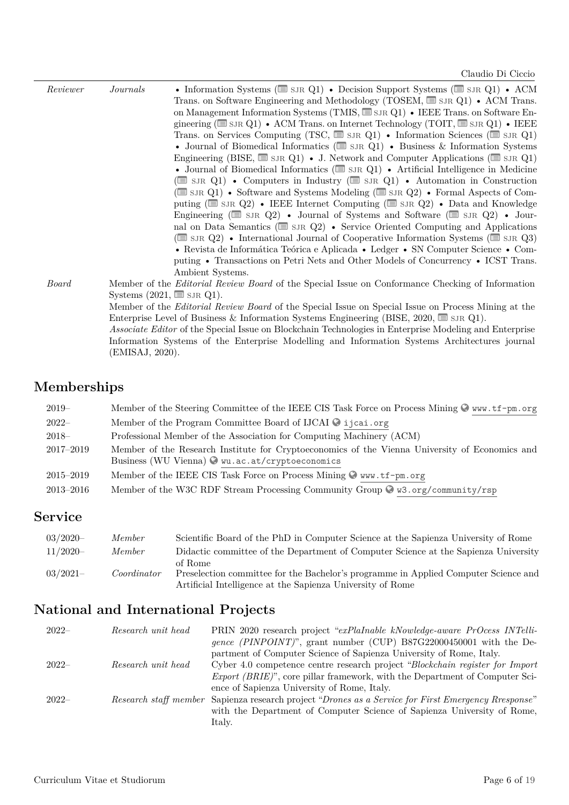| Reviewer | Journals        | • Information Systems ( $\equiv$ SJR Q1) • Decision Support Systems ( $\equiv$ SJR Q1) • ACM               |
|----------|-----------------|------------------------------------------------------------------------------------------------------------|
|          |                 | Trans. on Software Engineering and Methodology (TOSEM, $\equiv$ SJR Q1) • ACM Trans.                       |
|          |                 | on Management Information Systems (TMIS, $\equiv$ SJR Q1) • IEEE Trans. on Software En-                    |
|          |                 | gineering ( $\equiv$ SJR Q1) • ACM Trans. on Internet Technology (TOIT, $\equiv$ SJR Q1) • IEEE            |
|          |                 | Trans. on Services Computing (TSC, $\Box$ SJR Q1) • Information Sciences ( $\Box$ SJR Q1)                  |
|          |                 | • Journal of Biomedical Informatics ( $\equiv$ SJR Q1) • Business & Information Systems                    |
|          |                 | Engineering (BISE, $\equiv$ SJR Q1) • J. Network and Computer Applications ( $\equiv$ SJR Q1)              |
|          |                 | • Journal of Biomedical Informatics ( $\equiv$ SJR Q1) • Artificial Intelligence in Medicine               |
|          |                 | ( $\equiv$ SJR Q1) • Computers in Industry ( $\equiv$ SJR Q1) • Automation in Construction                 |
|          |                 | (SIR Q1) • Software and Systems Modeling (SIR Q2) • Formal Aspects of Com-                                 |
|          |                 | puting ( $\equiv$ SJR Q2) • IEEE Internet Computing ( $\equiv$ SJR Q2) • Data and Knowledge                |
|          |                 | Engineering ( $\equiv$ SJR Q2) • Journal of Systems and Software ( $\equiv$ SJR Q2) • Journal              |
|          |                 | nal on Data Semantics ( $\equiv$ SJR $Q2$ ) • Service Oriented Computing and Applications                  |
|          |                 | ( $\equiv$ SJR Q2) • International Journal of Cooperative Information Systems ( $\equiv$ SJR Q3)           |
|          |                 | • Revista de Informática Teórica e Aplicada • Ledger • SN Computer Science • Com-                          |
|          |                 | puting • Transactions on Petri Nets and Other Models of Concurrency • ICST Trans.                          |
|          |                 | Ambient Systems.                                                                                           |
| Board    |                 | Member of the <i>Editorial Review Board</i> of the Special Issue on Conformance Checking of Information    |
|          |                 | Systems $(2021, \equiv \text{SJR Q1}).$                                                                    |
|          |                 | Member of the <i>Editorial Review Board</i> of the Special Issue on Special Issue on Process Mining at the |
|          |                 | Enterprise Level of Business & Information Systems Engineering (BISE, 2020, $\equiv$ SJR Q1).              |
|          |                 | Associate Editor of the Special Issue on Blockchain Technologies in Enterprise Modeling and Enterprise     |
|          |                 | Information Systems of the Enterprise Modelling and Information Systems Architectures journal              |
|          | (EMISAJ, 2020). |                                                                                                            |

# **Memberships**

| $2019-$       | Member of the Steering Committee of the IEEE CIS Task Force on Process Mining $\mathcal{Q}$ www.tf-pm.org                                         |
|---------------|---------------------------------------------------------------------------------------------------------------------------------------------------|
| $2022-$       | Member of the Program Committee Board of IJCAI C ijcai.org                                                                                        |
| $2018-$       | Professional Member of the Association for Computing Machinery (ACM)                                                                              |
| 2017-2019     | Member of the Research Institute for Cryptoeconomics of the Vienna University of Economics and<br>Business (WU Vienna) O wu.ac.at/cryptoeconomics |
| $2015 - 2019$ | Member of the IEEE CIS Task Force on Process Mining O www.tf-pm.org                                                                               |
| $2013 - 2016$ | Member of the W3C RDF Stream Processing Community Group $\otimes$ w3.org/community/rsp                                                            |

## **Service**

| $03/2020 -$ | Member      | Scientific Board of the PhD in Computer Science at the Sapienza University of Rome                                                                           |
|-------------|-------------|--------------------------------------------------------------------------------------------------------------------------------------------------------------|
| $11/2020-$  | Member      | Didactic committee of the Department of Computer Science at the Sapienza University                                                                          |
| $03/2021-$  | Coordinator | of Rome<br>Preselection committee for the Bachelor's programme in Applied Computer Science and<br>Artificial Intelligence at the Sapienza University of Rome |

# **National and International Projects**

| $2022-$ | Research unit head | PRIN 2020 research project "exPlaInable kNowledge-aware PrOcess INTelli-                            |
|---------|--------------------|-----------------------------------------------------------------------------------------------------|
|         |                    | gence (PINPOINT)", grant number (CUP) B87G22000450001 with the De-                                  |
|         |                    | partment of Computer Science of Sapienza University of Rome, Italy.                                 |
| $2022-$ | Research unit head | Cyber 4.0 competence centre research project "Blockchain register for Import"                       |
|         |                    | <i>Export (BRIE)</i> ", core pillar framework, with the Department of Computer Sci-                 |
|         |                    | ence of Sapienza University of Rome, Italy.                                                         |
| $2022-$ |                    | Research staff member Sapienza research project "Drones as a Service for First Emergency Rresponse" |
|         |                    | with the Department of Computer Science of Sapienza University of Rome,                             |
|         |                    | Italy.                                                                                              |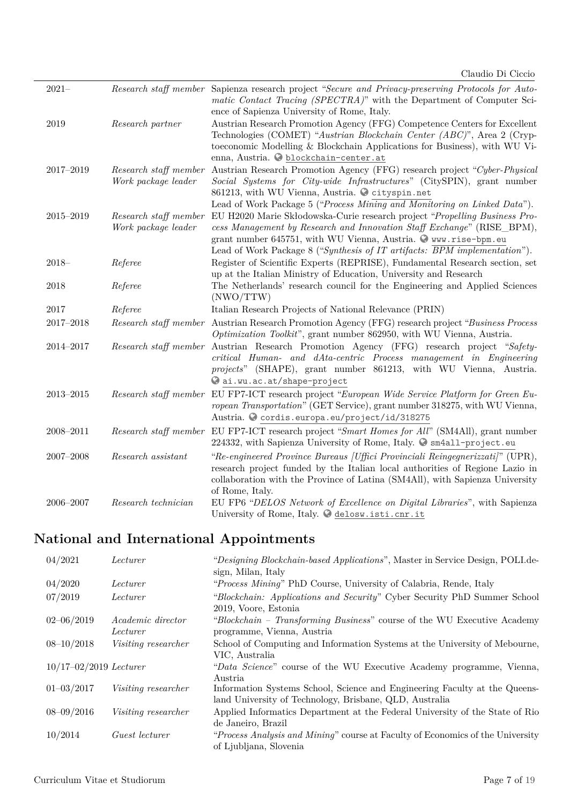| $2021 -$      |                                              | Research staff member Sapienza research project "Secure and Privacy-preserving Protocols for Auto-<br>matic Contact Tracing (SPECTRA)" with the Department of Computer Sci-                                                        |
|---------------|----------------------------------------------|------------------------------------------------------------------------------------------------------------------------------------------------------------------------------------------------------------------------------------|
| 2019          | Research partner                             | ence of Sapienza University of Rome, Italy.<br>Austrian Research Promotion Agency (FFG) Competence Centers for Excellent                                                                                                           |
|               |                                              | Technologies (COMET) "Austrian Blockchain Center (ABC)", Area 2 (Cryp-<br>toeconomic Modelling & Blockchain Applications for Business), with WU Vi-                                                                                |
|               |                                              | enna, Austria. O blockchain-center.at                                                                                                                                                                                              |
| $2017 - 2019$ | Research staff member<br>Work package leader | Austrian Research Promotion Agency (FFG) research project "Cyber-Physical<br>Social Systems for City-wide Infrastructures" (CitySPIN), grant number                                                                                |
|               |                                              | 861213, with WU Vienna, Austria. @ cityspin.net<br>Lead of Work Package 5 ("Process Mining and Monitoring on Linked Data").                                                                                                        |
| $2015 - 2019$ | Research staff member                        | EU H2020 Marie Skłodowska-Curie research project "Propelling Business Pro-                                                                                                                                                         |
|               | Work package leader                          | cess Management by Research and Innovation Staff Exchange" (RISE_BPM),                                                                                                                                                             |
|               |                                              | grant number 645751, with WU Vienna, Austria. Www.rise-bpm.eu                                                                                                                                                                      |
|               |                                              | Lead of Work Package 8 ("Synthesis of IT artifacts: BPM implementation").                                                                                                                                                          |
| $2018 -$      | Referee                                      | Register of Scientific Experts (REPRISE), Fundamental Research section, set                                                                                                                                                        |
|               |                                              | up at the Italian Ministry of Education, University and Research                                                                                                                                                                   |
| 2018          | Referee                                      | The Netherlands' research council for the Engineering and Applied Sciences<br>(NWO/TTW)                                                                                                                                            |
| 2017          | Referee                                      | Italian Research Projects of National Relevance (PRIN)                                                                                                                                                                             |
| 2017-2018     |                                              | Research staff member Austrian Research Promotion Agency (FFG) research project "Business Process<br>Optimization Toolkit", grant number 862950, with WU Vienna, Austria.                                                          |
| 2014-2017     |                                              | Research staff member Austrian Research Promotion Agency (FFG) research project "Safety-<br>critical Human- and dAta-centric Process management in Engineering<br>projects" (SHAPE), grant number 861213, with WU Vienna, Austria. |
|               |                                              | ai.wu.ac.at/shape-project                                                                                                                                                                                                          |
| $2013 - 2015$ |                                              | Research staff member EU FP7-ICT research project "European Wide Service Platform for Green Eu-                                                                                                                                    |
|               |                                              | ropean Transportation" (GET Service), grant number 318275, with WU Vienna,                                                                                                                                                         |
|               |                                              | Austria. O cordis.europa.eu/project/id/318275                                                                                                                                                                                      |
| 2008-2011     |                                              | Research staff member EU FP7-ICT research project "Smart Homes for All" (SM4All), grant number<br>224332, with Sapienza University of Rome, Italy. $\bullet$ sm4all-project.eu                                                     |
| $2007 - 2008$ | Research assistant                           | "Re-engineered Province Bureaus [Uffici Provinciali Reingegnerizzati]" (UPR),                                                                                                                                                      |
|               |                                              | research project funded by the Italian local authorities of Regione Lazio in<br>collaboration with the Province of Latina (SM4All), with Sapienza University                                                                       |
|               |                                              | of Rome, Italy.                                                                                                                                                                                                                    |
| 2006-2007     | Research technician                          | EU FP6 "DELOS Network of Excellence on Digital Libraries", with Sapienza<br>University of Rome, Italy. C delosw.isti.cnr.it                                                                                                        |

# **National and International Appointments**

| 04/2021                           | Lecturer                   | "Designing Blockchain-based Applications", Master in Service Design, POLI.de-  |  |
|-----------------------------------|----------------------------|--------------------------------------------------------------------------------|--|
|                                   |                            | sign, Milan, Italy                                                             |  |
| 04/2020                           | Lecturer                   | "Process Mining" PhD Course, University of Calabria, Rende, Italy              |  |
| 07/2019                           | Lecturer                   | "Blockchain: Applications and Security" Cyber Security PhD Summer School       |  |
|                                   |                            | 2019, Voore, Estonia                                                           |  |
| $02 - 06/2019$                    | Academic director          | "Blockchain - Transforming Business" course of the WU Executive Academy        |  |
|                                   | Lecturer                   | programme, Vienna, Austria                                                     |  |
| $08 - 10/2018$                    | <i>Visiting researcher</i> | School of Computing and Information Systems at the University of Mebourne,     |  |
|                                   |                            | VIC, Australia                                                                 |  |
| $10/17 - 02/2019$ <i>Lecturer</i> |                            | "Data Science" course of the WU Executive Academy programme, Vienna,           |  |
|                                   |                            | Austria                                                                        |  |
| $01 - 03/2017$                    | <i>Visiting researcher</i> | Information Systems School, Science and Engineering Faculty at the Queens-     |  |
|                                   |                            | land University of Technology, Brisbane, QLD, Australia                        |  |
| $08 - 09/2016$                    | <i>Visiting researcher</i> | Applied Informatics Department at the Federal University of the State of Rio   |  |
|                                   |                            | de Janeiro, Brazil                                                             |  |
| 10/2014                           | Guest lecturer             | "Process Analysis and Mining" course at Faculty of Economics of the University |  |
|                                   |                            | of Ljubljana, Slovenia                                                         |  |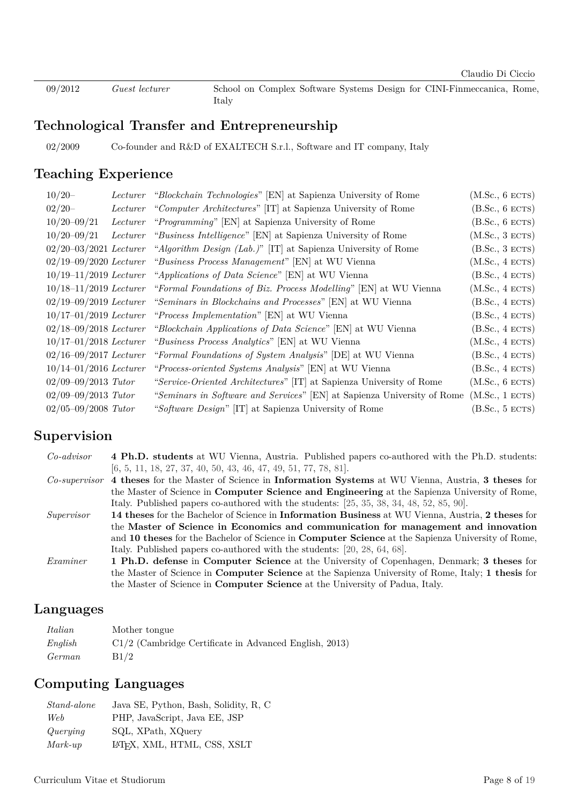09/2012 *Guest lecturer* School on Complex Software Systems Design for CINI-Finmeccanica, Rome, Italy

### **Technological Transfer and Entrepreneurship**

02/2009 Co-founder and R&D of EXALTECH S.r.l., Software and IT company, Italy

### **Teaching Experience**

| $10/20 -$                         | Lecturer | <i>"Blockchain Technologies"</i> [EN] at Sapienza University of Rome      | (M.Sc., 6 ECTS) |
|-----------------------------------|----------|---------------------------------------------------------------------------|-----------------|
| $02/20-$                          | Lecturer | "Computer Architectures" [IT] at Sapienza University of Rome              | (B.Sc., 6 ECTS) |
| $10/20 - 09/21$                   | Lecturer | "Programming" [EN] at Sapienza University of Rome                         | (B.Sc., 6 ECTS) |
| $10/20 - 09/21$                   | Lecturer | "Business Intelligence" [EN] at Sapienza University of Rome               | (M.Sc., 3 ECTS) |
| $02/20 - 03/2021$ <i>Lecturer</i> |          | "Algorithm Design (Lab.)" [IT] at Sapienza University of Rome             | (B.Sc., 3 ECTS) |
|                                   |          | $02/19-09/2020$ Lecturer "Business Process Management" [EN] at WU Vienna  | (M.Sc., 4 ECTS) |
|                                   |          | $10/19-11/2019$ Lecturer "Applications of Data Science" [EN] at WU Vienna | (B.Sc., 4 ECTS) |
| $10/18 - 11/2019$ <i>Lecturer</i> |          | "Formal Foundations of Biz. Process Modelling" [EN] at WU Vienna          | (M.Sc., 4 ECTS) |
| $02/19 - 09/2019$ <i>Lecturer</i> |          | "Seminars in Blockchains and Processes" [EN] at WU Vienna                 | (B.Sc., 4 ECTS) |
| $10/17 - 01/2019$ <i>Lecturer</i> |          | "Process Implementation" [EN] at WU Vienna                                | (B.Sc., 4 ECTS) |
| $02/18 - 09/2018$ <i>Lecturer</i> |          | "Blockchain Applications of Data Science" [EN] at WU Vienna               | (B.Sc., 4 ECTS) |
| $10/17 - 01/2018$ <i>Lecturer</i> |          | "Business Process Analytics" [EN] at WU Vienna                            | (M.Sc., 4 ECTS) |
| $02/16 - 09/2017$ Lecturer        |          | "Formal Foundations of System Analysis" [DE] at WU Vienna                 | (B.Sc., 4 ECTS) |
| $10/14 - 01/2016$ Lecturer        |          | "Process-oriented Systems Analysis" [EN] at WU Vienna                     | (B.Sc., 4 ECTS) |
| $02/09 - 09/2013$ Tutor           |          | "Service-Oriented Architectures" [IT] at Sapienza University of Rome      | (M.Sc., 6 ECTS) |
| $02/09 - 09/2013$ Tutor           |          | "Seminars in Software and Services" [EN] at Sapienza University of Rome   | (M.Sc., 1 ECTS) |
| $02/05 - 09/2008$ Tutor           |          | "Software Design" [IT] at Sapienza University of Rome                     | (B.Sc., 5 ECTS) |

### **Supervision**

| $Co-advisor$ | 4 Ph.D. students at WU Vienna, Austria. Published papers co-authored with the Ph.D. students:               |
|--------------|-------------------------------------------------------------------------------------------------------------|
|              | $[6, 5, 11, 18, 27, 37, 40, 50, 43, 46, 47, 49, 51, 77, 78, 81].$                                           |
|              | Co-supervisor 4 theses for the Master of Science in Information Systems at WU Vienna, Austria, 3 theses for |
|              | the Master of Science in <b>Computer Science and Engineering</b> at the Sapienza University of Rome,        |
|              | Italy. Published papers co-authored with the students: $[25, 35, 38, 34, 48, 52, 85, 90]$ .                 |
| Supervisor   | 14 theses for the Bachelor of Science in Information Business at WU Vienna, Austria, 2 theses for           |
|              | the Master of Science in Economics and communication for management and innovation                          |
|              | and 10 theses for the Bachelor of Science in <b>Computer Science</b> at the Sapienza University of Rome,    |
|              | Italy. Published papers co-authored with the students: [20, 28, 64, 68].                                    |
| Examiner     | 1 Ph.D. defense in Computer Science at the University of Copenhagen, Denmark; 3 theses for                  |
|              | the Master of Science in <b>Computer Science</b> at the Sapienza University of Rome, Italy; 1 thesis for    |
|              | the Master of Science in <b>Computer Science</b> at the University of Padua, Italy.                         |

#### **Languages**

| Italian | Mother tongue                                            |
|---------|----------------------------------------------------------|
| English | $C1/2$ (Cambridge Certificate in Advanced English, 2013) |
| German  | B1/2                                                     |

## **Computing Languages**

| <i>Stand-alone</i> | Java SE, Python, Bash, Solidity, R, C    |
|--------------------|------------------------------------------|
| Web                | PHP, JavaScript, Java EE, JSP            |
| Querying           | SQL, XPath, XQuery                       |
| $Mark-up$          | LAT <sub>E</sub> X, XML, HTML, CSS, XSLT |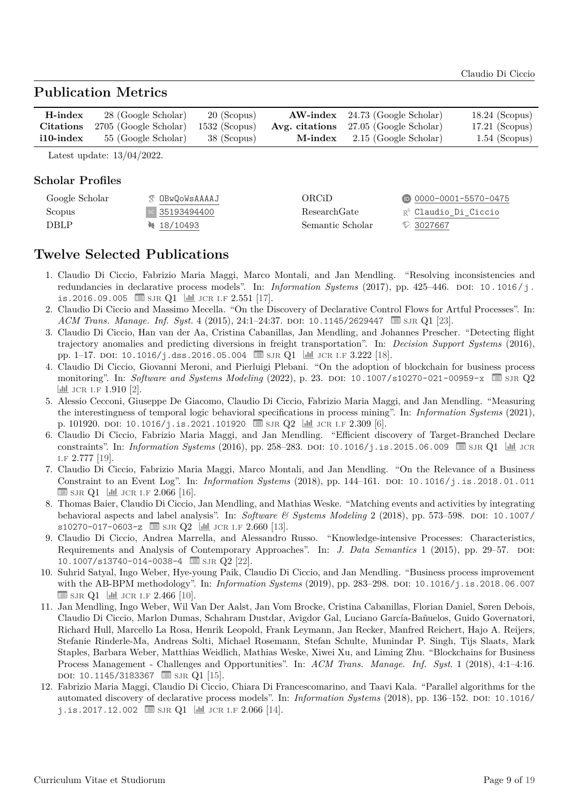#### **Publication Metrics**

| H-index          | 28 (Google Scholar)                 | 20 (Scopus) |         | $AW\text{-index}$ 24.73 (Google Scholar)     | $18.24$ (Scopus) |
|------------------|-------------------------------------|-------------|---------|----------------------------------------------|------------------|
| <b>Citations</b> | 2705 (Google Scholar) 1532 (Scopus) |             |         | <b>Avg. citations</b> 27.05 (Google Scholar) | $17.21$ (Scopus) |
| $i10$ -index     | 55 (Google Scholar)                 | 38 (Scopus) | M-index | 2.15 (Google Scholar)                        | $1.54$ (Scopus)  |

Latest update: 13/04/2022.

#### **Scholar Profiles**

| Google Scholar | <b>T OBWOOWSAAAAJ</b> | ORCiD            | $\n  0000 - 0001 - 5570 - 0475\n$ |
|----------------|-----------------------|------------------|-----------------------------------|
| Scopus         | sc 35193494400        | ResearchGate     | R <sup>6</sup> Claudio Di Ciccio  |
| <b>DBLP</b>    | $\binom{18}{10493}$   | Semantic Scholar | $\heartsuit$ 3027667              |

#### **Twelve Selected Publications**

- 1. Claudio Di Ciccio, Fabrizio Maria Maggi, Marco Montali, and Jan Mendling. "Resolving inconsistencies and redundancies in declarative process models". In: *Information Systems* (2017), pp. 425–446. DOI: [10.1016/j.](https://doi.org/10.1016/j.is.2016.09.005) [is.2016.09.005](https://doi.org/10.1016/j.is.2016.09.005)  $\equiv$  SJR Q1  $\parallel$  JCR I.F 2.551 [\[17\]](#page-10-0).
- 2. Claudio Di Ciccio and Massimo Mecella. "On the Discovery of Declarative Control Flows for Artful Processes". In: *ACM Trans. Manage. Inf. Syst.* 4 (2015), 24:1−24:37. DOI: [10.1145/2629447](https://doi.org/10.1145/2629447) **■** [sjr](https://www.scimagojr.com/) Q1 [\[23\]](#page-10-5).
- 3. Claudio Di Ciccio, Han van der Aa, Cristina Cabanillas, Jan Mendling, and Johannes Prescher. "Detecting flight trajectory anomalies and predicting diversions in freight transportation". In: *Decision Support Systems* (2016), pp. 1–17. DOI:  $10.1016/j.$ dss.2016.05.004  $\equiv$  SJR Q1  $\parallel$  JCR I.F 3.222 [\[18\]](#page-10-1).
- 4. Claudio Di Ciccio, Giovanni Meroni, and Pierluigi Plebani. "On the adoption of blockchain for business process monitoring". In: *Software and Systems Modeling* (2022), p. 23. DOI: [10.1007/s10270-021-00959-x](https://doi.org/10.1007/s10270-021-00959-x)  $\equiv$  SJR Q2  $\frac{1}{\ln 2}$  JCR I.F 1.910 [\[2\]](#page-9-3).
- 5. Alessio Cecconi, Giuseppe De Giacomo, Claudio Di Ciccio, Fabrizio Maria Maggi, and Jan Mendling. "Measuring the interestingness of temporal logic behavioral specifications in process mining". In: *Information Systems* (2021), p. 101920. doi: [10.1016/j.is.2021.101920](https://doi.org/10.1016/j.is.2021.101920)  $\equiv$  SJR  $Q2$   $\equiv$  JCR I.F 2.309 [\[6\]](#page-9-0).
- 6. Claudio Di Ciccio, Fabrizio Maria Maggi, and Jan Mendling. "Efficient discovery of Target-Branched Declare constraints". In: *Information Systems* (2016), pp. 258–283. DOI: [10.1016/j.is.2015.06.009](https://doi.org/10.1016/j.is.2015.06.009) SJR Q1 | | JL JCR [i.f](https://jcr.incites.thomsonreuters.com) 2.777 [\[19\]](#page-10-6).
- 7. Claudio Di Ciccio, Fabrizio Maria Maggi, Marco Montali, and Jan Mendling. "On the Relevance of a Business Constraint to an Event Log". In: *Information Systems* (2018), pp. 144–161. doi: [10.1016/j.is.2018.01.011](https://doi.org/10.1016/j.is.2018.01.011)  $\equiv$  SJR Q1  $\parallel$  JCR I.F 2.066 [\[16\]](#page-10-7).
- 8. Thomas Baier, Claudio Di Ciccio, Jan Mendling, and Mathias Weske. "Matching events and activities by integrating behavioral aspects and label analysis". In: *Software & Systems Modeling* 2 (2018), pp. 573-598. DOI: [10.1007/](https://doi.org/10.1007/s10270-017-0603-z) [s10270-017-0603-z](https://doi.org/10.1007/s10270-017-0603-z)  $\equiv$  SJR Q2  $\left| \frac{\text{d}}{\text{d}} \right|$  JCR I.F 2.660 [\[13\]](#page-10-8).
- 9. Claudio Di Ciccio, Andrea Marrella, and Alessandro Russo. "Knowledge-intensive Processes: Characteristics, Requirements and Analysis of Contemporary Approaches". In: *J. Data Semantics* 1 (2015), pp. 29–57. doi: [10.1007/s13740-014-0038-4](https://doi.org/10.1007/s13740-014-0038-4)  $\equiv$  SJR Q2 [\[22\]](#page-10-9).
- 10. Suhrid Satyal, Ingo Weber, Hye-young Paik, Claudio Di Ciccio, and Jan Mendling. "Business process improvement with the AB-BPM methodology". In: *Information Systems* (2019), pp. 283–298. doi: [10.1016/j.is.2018.06.007](https://doi.org/10.1016/j.is.2018.06.007)  $\equiv$  SJR Q1  $\parallel$  JH JCR I.F 2.466 [\[10\]](#page-9-4).
- 11. Jan Mendling, Ingo Weber, Wil Van Der Aalst, Jan Vom Brocke, Cristina Cabanillas, Florian Daniel, Søren Debois, Claudio Di Ciccio, Marlon Dumas, Schahram Dustdar, Avigdor Gal, Luciano García-Bañuelos, Guido Governatori, Richard Hull, Marcello La Rosa, Henrik Leopold, Frank Leymann, Jan Recker, Manfred Reichert, Hajo A. Reijers, Stefanie Rinderle-Ma, Andreas Solti, Michael Rosemann, Stefan Schulte, Munindar P. Singh, Tijs Slaats, Mark Staples, Barbara Weber, Matthias Weidlich, Mathias Weske, Xiwei Xu, and Liming Zhu. "Blockchains for Business Process Management - Challenges and Opportunities". In: *ACM Trans. Manage. Inf. Syst.* 1 (2018), 4:1–4:16. DOI: [10.1145/3183367](https://doi.org/10.1145/3183367)  $\equiv$  SJR Q1 [\[15\]](#page-10-10).
- 12. Fabrizio Maria Maggi, Claudio Di Ciccio, Chiara Di Francescomarino, and Taavi Kala. "Parallel algorithms for the automated discovery of declarative process models". In: *Information Systems* (2018), pp. 136–152. doi: [10.1016/](https://doi.org/10.1016/j.is.2017.12.002) [j.is.2017.12.002](https://doi.org/10.1016/j.is.2017.12.002)  $\equiv$  SJR Q1  $\parallel$  JCR I.F 2.066 [\[14\]](#page-10-11).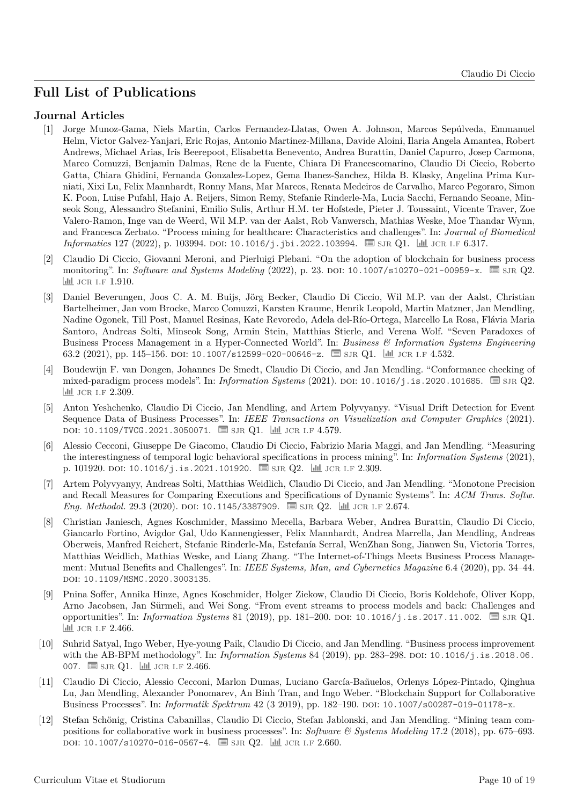#### **Full List of Publications**

#### **Journal Articles**

- [1] Jorge Munoz-Gama, Niels Martin, Carlos Fernandez-Llatas, Owen A. Johnson, Marcos Sepúlveda, Emmanuel Helm, Victor Galvez-Yanjari, Eric Rojas, Antonio Martinez-Millana, Davide Aloini, Ilaria Angela Amantea, Robert Andrews, Michael Arias, Iris Beerepoot, Elisabetta Benevento, Andrea Burattin, Daniel Capurro, Josep Carmona, Marco Comuzzi, Benjamin Dalmas, Rene de la Fuente, Chiara Di Francescomarino, Claudio Di Ciccio, Roberto Gatta, Chiara Ghidini, Fernanda Gonzalez-Lopez, Gema Ibanez-Sanchez, Hilda B. Klasky, Angelina Prima Kurniati, Xixi Lu, Felix Mannhardt, Ronny Mans, Mar Marcos, Renata Medeiros de Carvalho, Marco Pegoraro, Simon K. Poon, Luise Pufahl, Hajo A. Reijers, Simon Remy, Stefanie Rinderle-Ma, Lucia Sacchi, Fernando Seoane, Minseok Song, Alessandro Stefanini, Emilio Sulis, Arthur H.M. ter Hofstede, Pieter J. Toussaint, Vicente Traver, Zoe Valero-Ramon, Inge van de Weerd, Wil M.P. van der Aalst, Rob Vanwersch, Mathias Weske, Moe Thandar Wynn, and Francesca Zerbato. "Process mining for healthcare: Characteristics and challenges". In: *Journal of Biomedical Informatics* 127 (2022), p. 103994. doi: [10.1016/j.jbi.2022.103994](https://doi.org/10.1016/j.jbi.2022.103994). Signa Q1. | <u>Jul</u> JCR I.F 6.317.
- <span id="page-9-3"></span>[2] Claudio Di Ciccio, Giovanni Meroni, and Pierluigi Plebani. "On the adoption of blockchain for business process monitoring". In: *Software and Systems Modeling* (2022), p. 23. DOI: [10.1007/s10270-021-00959-x](https://doi.org/10.1007/s10270-021-00959-x). ■ SJR Q2. |**ill** JCR LF 1.910.
- [3] Daniel Beverungen, Joos C. A. M. Buijs, Jörg Becker, Claudio Di Ciccio, Wil M.P. van der Aalst, Christian Bartelheimer, Jan vom Brocke, Marco Comuzzi, Karsten Kraume, Henrik Leopold, Martin Matzner, Jan Mendling, Nadine Ogonek, Till Post, Manuel Resinas, Kate Revoredo, Adela del-Río-Ortega, Marcello La Rosa, Flávia Maria Santoro, Andreas Solti, Minseok Song, Armin Stein, Matthias Stierle, and Verena Wolf. "Seven Paradoxes of Business Process Management in a Hyper-Connected World". In: *Business & Information Systems Engineering* 63.2 (2021), pp. 145–156. DOI: [10.1007/s12599-020-00646-z](https://doi.org/10.1007/s12599-020-00646-z).  $\Box$  [sjr](https://www.scimagojr.com/) Q1. |  $\Box$  JCR I.F 4.532.
- [4] Boudewijn F. van Dongen, Johannes De Smedt, Claudio Di Ciccio, and Jan Mendling. "Conformance checking of mixed-paradigm process models". In: *Information Systems* (2021). DOI: [10.1016/j.is.2020.101685](https://doi.org/10.1016/j.is.2020.101685). **■ SJR Q2.** II JCR I.F 2.309.
- <span id="page-9-1"></span>[5] Anton Yeshchenko, Claudio Di Ciccio, Jan Mendling, and Artem Polyvyanyy. "Visual Drift Detection for Event Sequence Data of Business Processes". In: *IEEE Transactions on Visualization and Computer Graphics* (2021). DOI: [10.1109/TVCG.2021.3050071](https://doi.org/10.1109/TVCG.2021.3050071). **B** SJR Q1. **III** JCR I.F 4.579.
- <span id="page-9-0"></span>[6] Alessio Cecconi, Giuseppe De Giacomo, Claudio Di Ciccio, Fabrizio Maria Maggi, and Jan Mendling. "Measuring the interestingness of temporal logic behavioral specifications in process mining". In: *Information Systems* (2021), p. 101920. doi: [10.1016/j.is.2021.101920](https://doi.org/10.1016/j.is.2021.101920).  $\Box$  SJR Q2.  $\Box$  JCR I.F 2.309.
- [7] Artem Polyvyanyy, Andreas Solti, Matthias Weidlich, Claudio Di Ciccio, and Jan Mendling. "Monotone Precision and Recall Measures for Comparing Executions and Specifications of Dynamic Systems". In: *ACM Trans. Softw. Eng. Methodol.* 29.3 (2020). DOI: [10.1145/3387909](https://doi.org/10.1145/3387909).  $\Box$  SJR Q2.  $\Box$  JCR I.F 2.674.
- [8] Christian Janiesch, Agnes Koschmider, Massimo Mecella, Barbara Weber, Andrea Burattin, Claudio Di Ciccio, Giancarlo Fortino, Avigdor Gal, Udo Kannengiesser, Felix Mannhardt, Andrea Marrella, Jan Mendling, Andreas Oberweis, Manfred Reichert, Stefanie Rinderle-Ma, Estefanía Serral, WenZhan Song, Jianwen Su, Victoria Torres, Matthias Weidlich, Mathias Weske, and Liang Zhang. "The Internet-of-Things Meets Business Process Management: Mutual Benefits and Challenges". In: *IEEE Systems, Man, and Cybernetics Magazine* 6.4 (2020), pp. 34–44. doi: [10.1109/MSMC.2020.3003135](https://doi.org/10.1109/MSMC.2020.3003135).
- [9] Pnina Soffer, Annika Hinze, Agnes Koschmider, Holger Ziekow, Claudio Di Ciccio, Boris Koldehofe, Oliver Kopp, Arno Jacobsen, Jan Sürmeli, and Wei Song. "From event streams to process models and back: Challenges and opportunities". In: *Information Systems* 81 (2019), pp. 181–200. doi: [10.1016/j.is.2017.11.002](https://doi.org/10.1016/j.is.2017.11.002). � [sjr](https://www.scimagojr.com/) Q1. III JCR I.F 2.466.
- <span id="page-9-4"></span>[10] Suhrid Satyal, Ingo Weber, Hye-young Paik, Claudio Di Ciccio, and Jan Mendling. "Business process improvement with the AB-BPM methodology". In: *Information Systems* 84 (2019), pp. 283–298. doi: [10.1016/j.is.2018.06.](https://doi.org/10.1016/j.is.2018.06.007) [007](https://doi.org/10.1016/j.is.2018.06.007).  $\blacksquare$  [sjr](https://www.scimagojr.com/) Q1.  $\blacksquare$  JCR I.F 2.466.
- <span id="page-9-2"></span>[11] Claudio Di Ciccio, Alessio Cecconi, Marlon Dumas, Luciano García-Bañuelos, Orlenys López-Pintado, Qinghua Lu, Jan Mendling, Alexander Ponomarev, An Binh Tran, and Ingo Weber. "Blockchain Support for Collaborative Business Processes". In: *Informatik Spektrum* 42 (3 2019), pp. 182–190. DOI: [10.1007/s00287-019-01178-x](https://doi.org/10.1007/s00287-019-01178-x).
- [12] Stefan Schönig, Cristina Cabanillas, Claudio Di Ciccio, Stefan Jablonski, and Jan Mendling. "Mining team compositions for collaborative work in business processes". In: *Software & Systems Modeling* 17.2 (2018), pp. 675–693. DOI: [10.1007/s10270-016-0567-4](https://doi.org/10.1007/s10270-016-0567-4). ■ SJR Q2. | ill JCR I.F 2.660.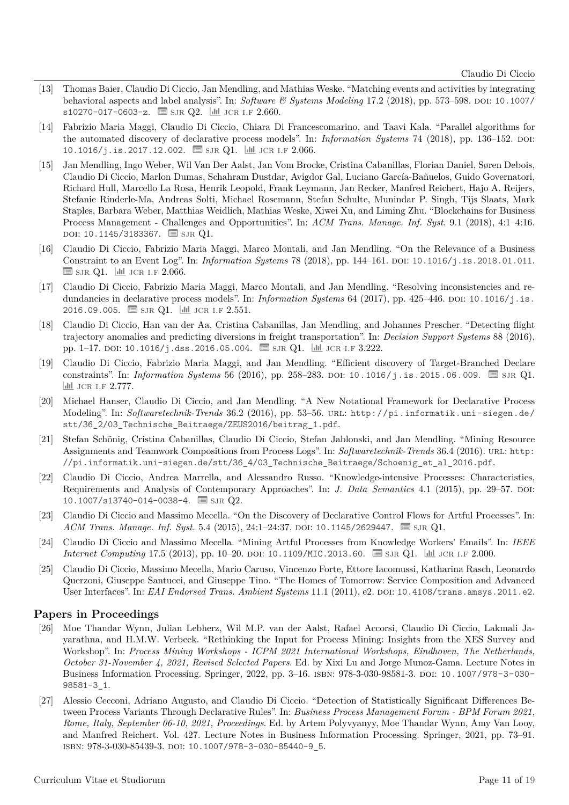- <span id="page-10-8"></span>[13] Thomas Baier, Claudio Di Ciccio, Jan Mendling, and Mathias Weske. "Matching events and activities by integrating behavioral aspects and label analysis". In: *Software & Systems Modeling* 17.2 (2018), pp. 573-598. DOI: [10.1007/](https://doi.org/10.1007/s10270-017-0603-z) [s10270-017-0603-z](https://doi.org/10.1007/s10270-017-0603-z).  $\Box$  SJR Q2.  $\Box$  JCR I.F 2.660.
- <span id="page-10-11"></span>[14] Fabrizio Maria Maggi, Claudio Di Ciccio, Chiara Di Francescomarino, and Taavi Kala. "Parallel algorithms for the automated discovery of declarative process models". In: *Information Systems* 74 (2018), pp. 136–152. doi: [10.1016/j.is.2017.12.002](https://doi.org/10.1016/j.is.2017.12.002).  $\Box$  SJR Q1.  $\Box$  JCR I.F 2.066.
- <span id="page-10-10"></span>[15] Jan Mendling, Ingo Weber, Wil Van Der Aalst, Jan Vom Brocke, Cristina Cabanillas, Florian Daniel, Søren Debois, Claudio Di Ciccio, Marlon Dumas, Schahram Dustdar, Avigdor Gal, Luciano García-Bañuelos, Guido Governatori, Richard Hull, Marcello La Rosa, Henrik Leopold, Frank Leymann, Jan Recker, Manfred Reichert, Hajo A. Reijers, Stefanie Rinderle-Ma, Andreas Solti, Michael Rosemann, Stefan Schulte, Munindar P. Singh, Tijs Slaats, Mark Staples, Barbara Weber, Matthias Weidlich, Mathias Weske, Xiwei Xu, and Liming Zhu. "Blockchains for Business Process Management - Challenges and Opportunities". In: *ACM Trans. Manage. Inf. Syst.* 9.1 (2018), 4:1–4:16. DOI: [10.1145/3183367](https://doi.org/10.1145/3183367). **is sur Q1.**
- <span id="page-10-7"></span>[16] Claudio Di Ciccio, Fabrizio Maria Maggi, Marco Montali, and Jan Mendling. "On the Relevance of a Business Constraint to an Event Log". In: *Information Systems* 78 (2018), pp. 144–161. doi: [10.1016/j.is.2018.01.011](https://doi.org/10.1016/j.is.2018.01.011).  $\equiv$  SJR Q1.  $\equiv$  JCR I.F 2.066.
- <span id="page-10-0"></span>[17] Claudio Di Ciccio, Fabrizio Maria Maggi, Marco Montali, and Jan Mendling. "Resolving inconsistencies and redundancies in declarative process models". In: *Information Systems* 64 (2017), pp. 425–446. DOI: [10.1016/j.is.](https://doi.org/10.1016/j.is.2016.09.005) [2016.09.005](https://doi.org/10.1016/j.is.2016.09.005).  $\Box$  SJR Q1.  $\Box$  JCR I.F 2.551.
- <span id="page-10-1"></span>[18] Claudio Di Ciccio, Han van der Aa, Cristina Cabanillas, Jan Mendling, and Johannes Prescher. "Detecting flight trajectory anomalies and predicting diversions in freight transportation". In: *Decision Support Systems* 88 (2016), pp. 1–17. DOI: [10.1016/j.dss.2016.05.004](https://doi.org/10.1016/j.dss.2016.05.004).  $\Box$  SJR Q1.  $\Box$  JCR I.F 3.222.
- <span id="page-10-6"></span>[19] Claudio Di Ciccio, Fabrizio Maria Maggi, and Jan Mendling. "Efficient discovery of Target-Branched Declare constraints". In: *Information Systems* 56 (2016), pp. 258–283. doi: [10.1016/j.is.2015.06.009](https://doi.org/10.1016/j.is.2015.06.009).  $\equiv$  SJR Q1. III JCR I.F 2.777.
- <span id="page-10-4"></span>[20] Michael Hanser, Claudio Di Ciccio, and Jan Mendling. "A New Notational Framework for Declarative Process Modeling". In: *Softwaretechnik-Trends* 36.2 (2016), pp. 53–56. url: [http://pi.informatik.uni-siegen.de/](http://pi.informatik.uni-siegen.de/stt/36_2/03_Technische_Beitraege/ZEUS2016/beitrag_1.pdf) stt/36 2/03 Technische Beitraege/ZEUS2016/beitrag 1.pdf.
- [21] Stefan Schönig, Cristina Cabanillas, Claudio Di Ciccio, Stefan Jablonski, and Jan Mendling. "Mining Resource Assignments and Teamwork Compositions from Process Logs". In: *Softwaretechnik-Trends* 36.4 (2016). url: [http:](http://pi.informatik.uni-siegen.de/stt/36_4/03_Technische_Beitraege/Schoenig_et_al_2016.pdf) [//pi.informatik.uni-siegen.de/stt/36\\_4/03\\_Technische\\_Beitraege/Schoenig\\_et\\_al\\_2016.pdf](http://pi.informatik.uni-siegen.de/stt/36_4/03_Technische_Beitraege/Schoenig_et_al_2016.pdf).
- <span id="page-10-9"></span>[22] Claudio Di Ciccio, Andrea Marrella, and Alessandro Russo. "Knowledge-intensive Processes: Characteristics, Requirements and Analysis of Contemporary Approaches". In: *J. Data Semantics* 4.1 (2015), pp. 29–57. doi: [10.1007/s13740-014-0038-4](https://doi.org/10.1007/s13740-014-0038-4).  $\equiv$  SJR Q2.
- <span id="page-10-5"></span>[23] Claudio Di Ciccio and Massimo Mecella. "On the Discovery of Declarative Control Flows for Artful Processes". In: *ACM Trans. Manage. Inf. Syst.* 5.4 (2015), 24:1−24:37. doi: [10.1145/2629447](https://doi.org/10.1145/2629447). **■** [sjr](https://www.scimagojr.com/) Q1.
- [24] Claudio Di Ciccio and Massimo Mecella. "Mining Artful Processes from Knowledge Workers' Emails". In: *IEEE Internet Computing* 17.5 (2013), pp. 10–20. doi: [10.1109/MIC.2013.60](https://doi.org/10.1109/MIC.2013.60). *■ SJR Q1.* | <u>| dtd</u> JCR I.F 2.000.
- <span id="page-10-3"></span>[25] Claudio Di Ciccio, Massimo Mecella, Mario Caruso, Vincenzo Forte, Ettore Iacomussi, Katharina Rasch, Leonardo Querzoni, Giuseppe Santucci, and Giuseppe Tino. "The Homes of Tomorrow: Service Composition and Advanced User Interfaces". In: *EAI Endorsed Trans. Ambient Systems* 11.1 (2011), e2. DOI: [10.4108/trans.amsys.2011.e2](https://doi.org/10.4108/trans.amsys.2011.e2).

#### **Papers in Proceedings**

- [26] Moe Thandar Wynn, Julian Lebherz, Wil M.P. van der Aalst, Rafael Accorsi, Claudio Di Ciccio, Lakmali Jayarathna, and H.M.W. Verbeek. "Rethinking the Input for Process Mining: Insights from the XES Survey and Workshop". In: *Process Mining Workshops - ICPM 2021 International Workshops, Eindhoven, The Netherlands, October 31-November 4, 2021, Revised Selected Papers*. Ed. by Xixi Lu and Jorge Munoz-Gama. Lecture Notes in Business Information Processing. Springer, 2022, pp. 3–16. isbn: 978-3-030-98581-3. doi: [10.1007/978-3-030-](https://doi.org/10.1007/978-3-030-98581-3_1) [98581-3\\_1](https://doi.org/10.1007/978-3-030-98581-3_1).
- <span id="page-10-2"></span>[27] Alessio Cecconi, Adriano Augusto, and Claudio Di Ciccio. "Detection of Statistically Significant Differences Between Process Variants Through Declarative Rules". In: *Business Process Management Forum - BPM Forum 2021, Rome, Italy, September 06-10, 2021, Proceedings*. Ed. by Artem Polyvyanyy, Moe Thandar Wynn, Amy Van Looy, and Manfred Reichert. Vol. 427. Lecture Notes in Business Information Processing. Springer, 2021, pp. 73–91. isbn: 978-3-030-85439-3. doi: [10.1007/978-3-030-85440-9\\_5](https://doi.org/10.1007/978-3-030-85440-9_5).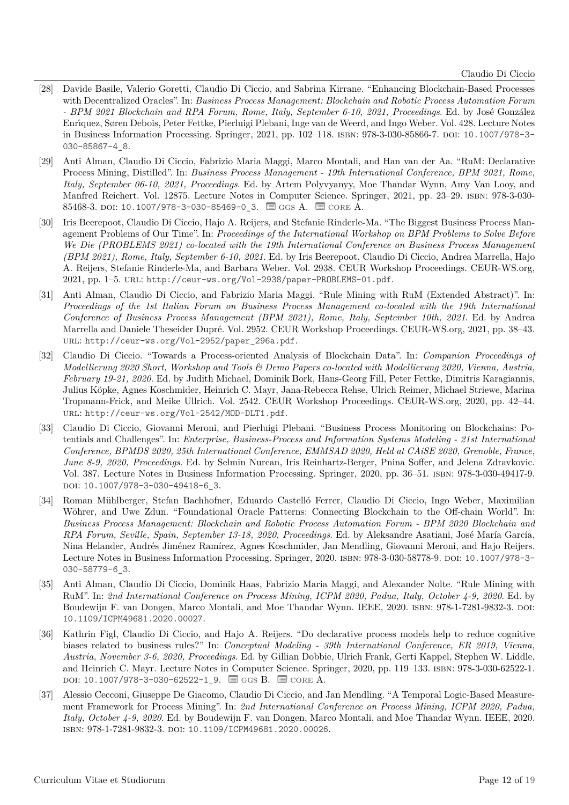- <span id="page-11-5"></span>[28] Davide Basile, Valerio Goretti, Claudio Di Ciccio, and Sabrina Kirrane. "Enhancing Blockchain-Based Processes with Decentralized Oracles". In: *Business Process Management: Blockchain and Robotic Process Automation Forum - BPM 2021 Blockchain and RPA Forum, Rome, Italy, September 6-10, 2021, Proceedings*. Ed. by José González Enrı́quez, Søren Debois, Peter Fettke, Pierluigi Plebani, Inge van de Weerd, and Ingo Weber. Vol. 428. Lecture Notes in Business Information Processing. Springer, 2021, pp. 102–118. isbn: 978-3-030-85866-7. doi: [10.1007/978-3-](https://doi.org/10.1007/978-3-030-85867-4_8) [030-85867-4\\_8](https://doi.org/10.1007/978-3-030-85867-4_8).
- <span id="page-11-1"></span>[29] Anti Alman, Claudio Di Ciccio, Fabrizio Maria Maggi, Marco Montali, and Han van der Aa. "RuM: Declarative Process Mining, Distilled". In: *Business Process Management - 19th International Conference, BPM 2021, Rome, Italy, September 06-10, 2021, Proceedings*. Ed. by Artem Polyvyanyy, Moe Thandar Wynn, Amy Van Looy, and Manfred Reichert. Vol. 12875. Lecture Notes in Computer Science. Springer, 2021, pp. 23–29. isbn: 978-3-030- 85468-3. doi: [10.1007/978-3-030-85469-0\\_3](https://doi.org/10.1007/978-3-030-85469-0_3).  $\equiv$  GGS A.  $\equiv$  CORE A.
- [30] Iris Beerepoot, Claudio Di Ciccio, Hajo A. Reijers, and Stefanie Rinderle-Ma. "The Biggest Business Process Management Problems of Our Time". In: *Proceedings of the International Workshop on BPM Problems to Solve Before We Die (PROBLEMS 2021) co-located with the 19th International Conference on Business Process Management (BPM 2021), Rome, Italy, September 6-10, 2021*. Ed. by Iris Beerepoot, Claudio Di Ciccio, Andrea Marrella, Hajo A. Reijers, Stefanie Rinderle-Ma, and Barbara Weber. Vol. 2938. CEUR Workshop Proceedings. CEUR-WS.org, 2021, pp. 1–5. url: <http://ceur-ws.org/Vol-2938/paper-PROBLEMS-01.pdf>.
- [31] Anti Alman, Claudio Di Ciccio, and Fabrizio Maria Maggi. "Rule Mining with RuM (Extended Abstract)". In: *Proceedings of the 1st Italian Forum on Business Process Management co-located with the 19th International Conference of Business Process Management (BPM 2021), Rome, Italy, September 10th, 2021*. Ed. by Andrea Marrella and Daniele Theseider Dupré. Vol. 2952. CEUR Workshop Proceedings. CEUR-WS.org, 2021, pp. 38–43. URL: http://ceur-ws.org/Vol-2952/paper 296a.pdf.
- <span id="page-11-0"></span>[32] Claudio Di Ciccio. "Towards a Process-oriented Analysis of Blockchain Data". In: *Companion Proceedings of Modellierung 2020 Short, Workshop and Tools & Demo Papers co-located with Modellierung 2020, Vienna, Austria, February 19-21, 2020*. Ed. by Judith Michael, Dominik Bork, Hans-Georg Fill, Peter Fettke, Dimitris Karagiannis, Julius Köpke, Agnes Koschmider, Heinrich C. Mayr, Jana-Rebecca Rehse, Ulrich Reimer, Michael Striewe, Marina Tropmann-Frick, and Meike Ullrich. Vol. 2542. CEUR Workshop Proceedings. CEUR-WS.org, 2020, pp. 42–44. url: <http://ceur-ws.org/Vol-2542/MOD-DLT1.pdf>.
- [33] Claudio Di Ciccio, Giovanni Meroni, and Pierluigi Plebani. "Business Process Monitoring on Blockchains: Potentials and Challenges". In: *Enterprise, Business-Process and Information Systems Modeling - 21st International Conference, BPMDS 2020, 25th International Conference, EMMSAD 2020, Held at CAiSE 2020, Grenoble, France, June 8-9, 2020, Proceedings*. Ed. by Selmin Nurcan, Iris Reinhartz-Berger, Pnina Soffer, and Jelena Zdravkovic. Vol. 387. Lecture Notes in Business Information Processing. Springer, 2020, pp. 36–51. isbn: 978-3-030-49417-9. DOI: 10.1007/978-3-030-49418-6 3.
- <span id="page-11-4"></span>[34] Roman Mühlberger, Stefan Bachhofner, Eduardo Castelló Ferrer, Claudio Di Ciccio, Ingo Weber, Maximilian Wöhrer, and Uwe Zdun. "Foundational Oracle Patterns: Connecting Blockchain to the Off-chain World". In: *Business Process Management: Blockchain and Robotic Process Automation Forum - BPM 2020 Blockchain and RPA Forum, Seville, Spain, September 13-18, 2020, Proceedings*. Ed. by Aleksandre Asatiani, José María García, Nina Helander, Andrés Jiménez Ramírez, Agnes Koschmider, Jan Mendling, Giovanni Meroni, and Hajo Reijers. Lecture Notes in Business Information Processing. Springer, 2020. isbn: 978-3-030-58778-9. doi: [10.1007/978-3-](https://doi.org/10.1007/978-3-030-58779-6_3) [030-58779-6\\_3](https://doi.org/10.1007/978-3-030-58779-6_3).
- <span id="page-11-3"></span>[35] Anti Alman, Claudio Di Ciccio, Dominik Haas, Fabrizio Maria Maggi, and Alexander Nolte. "Rule Mining with RuM". In: *2nd International Conference on Process Mining, ICPM 2020, Padua, Italy, October 4-9, 2020*. Ed. by Boudewijn F. van Dongen, Marco Montali, and Moe Thandar Wynn. IEEE, 2020. isbn: 978-1-7281-9832-3. doi: [10.1109/ICPM49681.2020.00027](https://doi.org/10.1109/ICPM49681.2020.00027).
- [36] Kathrin Figl, Claudio Di Ciccio, and Hajo A. Reijers. "Do declarative process models help to reduce cognitive biases related to business rules?" In: *Conceptual Modeling - 39th International Conference, ER 2019, Vienna, Austria, November 3-6, 2020, Proceedings*. Ed. by Gillian Dobbie, Ulrich Frank, Gerti Kappel, Stephen W. Liddle, and Heinrich C. Mayr. Lecture Notes in Computer Science. Springer, 2020, pp. 119–133. isbn: 978-3-030-62522-1. DOI: [10.1007/978-3-030-62522-1\\_9](https://doi.org/10.1007/978-3-030-62522-1_9). ■ GGS B. ■ CORE A.
- <span id="page-11-2"></span>[37] Alessio Cecconi, Giuseppe De Giacomo, Claudio Di Ciccio, and Jan Mendling. "A Temporal Logic-Based Measurement Framework for Process Mining". In: *2nd International Conference on Process Mining, ICPM 2020, Padua, Italy, October 4-9, 2020*. Ed. by Boudewijn F. van Dongen, Marco Montali, and Moe Thandar Wynn. IEEE, 2020. isbn: 978-1-7281-9832-3. doi: [10.1109/ICPM49681.2020.00026](https://doi.org/10.1109/ICPM49681.2020.00026).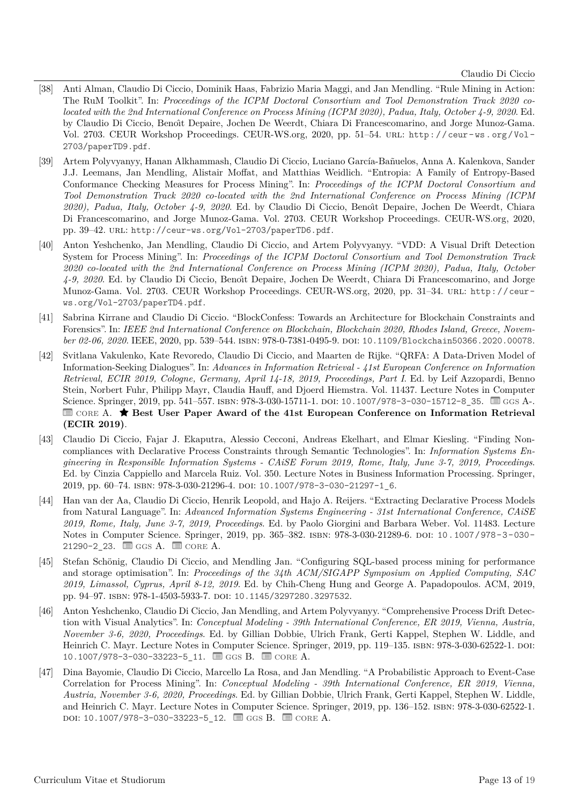- <span id="page-12-5"></span>[38] Anti Alman, Claudio Di Ciccio, Dominik Haas, Fabrizio Maria Maggi, and Jan Mendling. "Rule Mining in Action: The RuM Toolkit". In: *Proceedings of the ICPM Doctoral Consortium and Tool Demonstration Track 2020 colocated with the 2nd International Conference on Process Mining (ICPM 2020), Padua, Italy, October 4-9, 2020*. Ed. by Claudio Di Ciccio, Benoı̂t Depaire, Jochen De Weerdt, Chiara Di Francescomarino, and Jorge Munoz-Gama. Vol. 2703. CEUR Workshop Proceedings. CEUR-WS.org, 2020, pp. 51–54. url: [http : / / ceur - ws . org / Vol -](http://ceur-ws.org/Vol-2703/paperTD9.pdf) [2703/paperTD9.pdf](http://ceur-ws.org/Vol-2703/paperTD9.pdf).
- [39] Artem Polyvyanyy, Hanan Alkhammash, Claudio Di Ciccio, Luciano García-Bañuelos, Anna A. Kalenkova, Sander J.J. Leemans, Jan Mendling, Alistair Moffat, and Matthias Weidlich. "Entropia: A Family of Entropy-Based Conformance Checking Measures for Process Mining". In: *Proceedings of the ICPM Doctoral Consortium and Tool Demonstration Track 2020 co-located with the 2nd International Conference on Process Mining (ICPM 2020), Padua, Italy, October 4-9, 2020*. Ed. by Claudio Di Ciccio, Benoı̂t Depaire, Jochen De Weerdt, Chiara Di Francescomarino, and Jorge Munoz-Gama. Vol. 2703. CEUR Workshop Proceedings. CEUR-WS.org, 2020, pp. 39-42. URL: <http://ceur-ws.org/Vol-2703/paperTD6.pdf>.
- <span id="page-12-1"></span>[40] Anton Yeshchenko, Jan Mendling, Claudio Di Ciccio, and Artem Polyvyanyy. "VDD: A Visual Drift Detection System for Process Mining". In: *Proceedings of the ICPM Doctoral Consortium and Tool Demonstration Track 2020 co-located with the 2nd International Conference on Process Mining (ICPM 2020), Padua, Italy, October 4-9, 2020*. Ed. by Claudio Di Ciccio, Benoı̂t Depaire, Jochen De Weerdt, Chiara Di Francescomarino, and Jorge Munoz-Gama. Vol. 2703. CEUR Workshop Proceedings. CEUR-WS.org, 2020, pp. 31–34. url: [http://ceur](http://ceur-ws.org/Vol-2703/paperTD4.pdf)[ws.org/Vol-2703/paperTD4.pdf](http://ceur-ws.org/Vol-2703/paperTD4.pdf).
- [41] Sabrina Kirrane and Claudio Di Ciccio. "BlockConfess: Towards an Architecture for Blockchain Constraints and Forensics". In: *IEEE 2nd International Conference on Blockchain, Blockchain 2020, Rhodes Island, Greece, November 02-06, 2020*. IEEE, 2020, pp. 539–544. isbn: 978-0-7381-0495-9. doi: [10.1109/Blockchain50366.2020.00078](https://doi.org/10.1109/Blockchain50366.2020.00078).
- <span id="page-12-0"></span>[42] Svitlana Vakulenko, Kate Revoredo, Claudio Di Ciccio, and Maarten de Rijke. "QRFA: A Data-Driven Model of Information-Seeking Dialogues". In: *Advances in Information Retrieval - 41st European Conference on Information Retrieval, ECIR 2019, Cologne, Germany, April 14-18, 2019, Proceedings, Part I*. Ed. by Leif Azzopardi, Benno Stein, Norbert Fuhr, Philipp Mayr, Claudia Hauff, and Djoerd Hiemstra. Vol. 11437. Lecture Notes in Computer Science. Springer, 2019, pp. 541–557. ISBN: 978-3-030-15711-1. DOI: [10.1007/978-3-030-15712-8\\_35](https://doi.org/10.1007/978-3-030-15712-8_35). **a** GGS A-. **EZER A.** ★ Best User Paper Award of the 41st European Conference on Information Retrieval **(ECIR 2019)**.
- <span id="page-12-2"></span>[43] Claudio Di Ciccio, Fajar J. Ekaputra, Alessio Cecconi, Andreas Ekelhart, and Elmar Kiesling. "Finding Noncompliances with Declarative Process Constraints through Semantic Technologies". In: *Information Systems Engineering in Responsible Information Systems - CAiSE Forum 2019, Rome, Italy, June 3-7, 2019, Proceedings*. Ed. by Cinzia Cappiello and Marcela Ruiz. Vol. 350. Lecture Notes in Business Information Processing. Springer, 2019, pp. 60–74. isbn: 978-3-030-21296-4. doi: [10.1007/978-3-030-21297-1\\_6](https://doi.org/10.1007/978-3-030-21297-1_6).
- [44] Han van der Aa, Claudio Di Ciccio, Henrik Leopold, and Hajo A. Reijers. "Extracting Declarative Process Models from Natural Language". In: *Advanced Information Systems Engineering - 31st International Conference, CAiSE 2019, Rome, Italy, June 3-7, 2019, Proceedings*. Ed. by Paolo Giorgini and Barbara Weber. Vol. 11483. Lecture Notes in Computer Science. Springer, 2019, pp. 365–382. isbn: 978-3-030-21289-6. doi: [10.1007/978-3-030-](https://doi.org/10.1007/978-3-030-21290-2_23) 21290-2 23.  $\blacksquare$  [ggs](http://gii-grin-scie-rating.scie.es) A.  $\blacksquare$  [core](http://portal.core.edu.au/conf-ranks) A.
- [45] Stefan Schönig, Claudio Di Ciccio, and Mendling Jan. "Configuring SQL-based process mining for performance and storage optimisation". In: *Proceedings of the 34th ACM/SIGAPP Symposium on Applied Computing, SAC 2019, Limassol, Cyprus, April 8-12, 2019*. Ed. by Chih-Cheng Hung and George A. Papadopoulos. ACM, 2019, pp. 94–97. isbn: 978-1-4503-5933-7. doi: [10.1145/3297280.3297532](https://doi.org/10.1145/3297280.3297532).
- <span id="page-12-3"></span>[46] Anton Yeshchenko, Claudio Di Ciccio, Jan Mendling, and Artem Polyvyanyy. "Comprehensive Process Drift Detection with Visual Analytics". In: *Conceptual Modeling - 39th International Conference, ER 2019, Vienna, Austria, November 3-6, 2020, Proceedings*. Ed. by Gillian Dobbie, Ulrich Frank, Gerti Kappel, Stephen W. Liddle, and Heinrich C. Mayr. Lecture Notes in Computer Science. Springer, 2019, pp. 119–135. ISBN: 978-3-030-62522-1. DOI: [10.1007/978-3-030-33223-5\\_11](https://doi.org/10.1007/978-3-030-33223-5_11). ■ GGS B. ■ CORE A.
- <span id="page-12-4"></span>[47] Dina Bayomie, Claudio Di Ciccio, Marcello La Rosa, and Jan Mendling. "A Probabilistic Approach to Event-Case Correlation for Process Mining". In: *Conceptual Modeling - 39th International Conference, ER 2019, Vienna, Austria, November 3-6, 2020, Proceedings*. Ed. by Gillian Dobbie, Ulrich Frank, Gerti Kappel, Stephen W. Liddle, and Heinrich C. Mayr. Lecture Notes in Computer Science. Springer, 2019, pp. 136–152. isbn: 978-3-030-62522-1.  $\text{DOI: } 10.1007 / 978 - 3 - 030 - 33223 - 5 \_12. \quad \text{and} \quad \text{GGS B.} \quad \text{and} \quad \text{CORE A.}$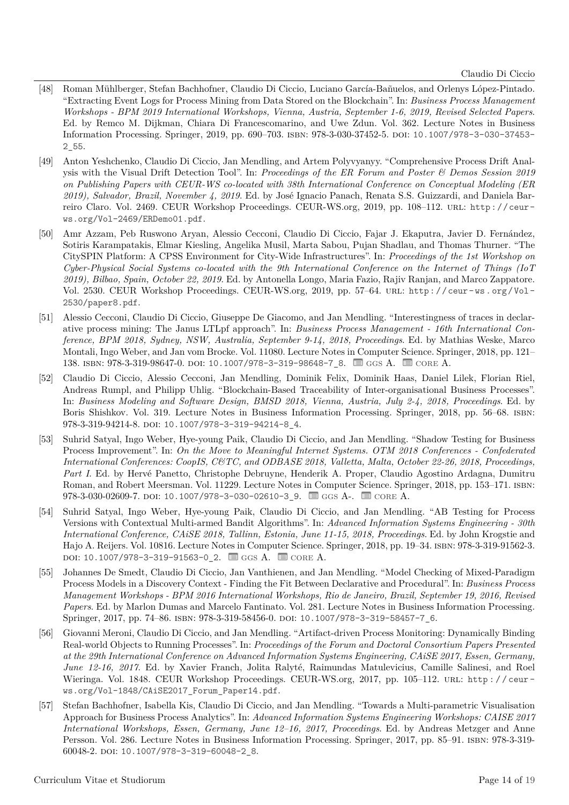- <span id="page-13-0"></span>[48] Roman Mühlberger, Stefan Bachhofner, Claudio Di Ciccio, Luciano García-Bañuelos, and Orlenys López-Pintado. "Extracting Event Logs for Process Mining from Data Stored on the Blockchain". In: *Business Process Management Workshops - BPM 2019 International Workshops, Vienna, Austria, September 1-6, 2019, Revised Selected Papers*. Ed. by Remco M. Dijkman, Chiara Di Francescomarino, and Uwe Zdun. Vol. 362. Lecture Notes in Business Information Processing. Springer, 2019, pp. 690–703. isbn: 978-3-030-37452-5. doi: [10.1007/978-3-030-37453-](https://doi.org/10.1007/978-3-030-37453-2_55) [2\\_55](https://doi.org/10.1007/978-3-030-37453-2_55).
- <span id="page-13-4"></span>[49] Anton Yeshchenko, Claudio Di Ciccio, Jan Mendling, and Artem Polyvyanyy. "Comprehensive Process Drift Analysis with the Visual Drift Detection Tool". In: *Proceedings of the ER Forum and Poster & Demos Session 2019 on Publishing Papers with CEUR-WS co-located with 38th International Conference on Conceptual Modeling (ER 2019), Salvador, Brazil, November 4, 2019*. Ed. by José Ignacio Panach, Renata S.S. Guizzardi, and Daniela Barreiro Claro. Vol. 2469. CEUR Workshop Proceedings. CEUR-WS.org, 2019, pp. 108–112. url: [http://ceur](http://ceur-ws.org/Vol-2469/ERDemo01.pdf)[ws.org/Vol-2469/ERDemo01.pdf](http://ceur-ws.org/Vol-2469/ERDemo01.pdf).
- <span id="page-13-3"></span>[50] Amr Azzam, Peb Ruswono Aryan, Alessio Cecconi, Claudio Di Ciccio, Fajar J. Ekaputra, Javier D. Fernández, Sotiris Karampatakis, Elmar Kiesling, Angelika Musil, Marta Sabou, Pujan Shadlau, and Thomas Thurner. "The CitySPIN Platform: A CPSS Environment for City-Wide Infrastructures". In: *Proceedings of the 1st Workshop on Cyber-Physical Social Systems co-located with the 9th International Conference on the Internet of Things (IoT 2019), Bilbao, Spain, October 22, 2019*. Ed. by Antonella Longo, Maria Fazio, Rajiv Ranjan, and Marco Zappatore. Vol. 2530. CEUR Workshop Proceedings. CEUR-WS.org, 2019, pp. 57–64. url: [http : / / ceur - ws . org / Vol -](http://ceur-ws.org/Vol-2530/paper8.pdf) [2530/paper8.pdf](http://ceur-ws.org/Vol-2530/paper8.pdf).
- <span id="page-13-5"></span>[51] Alessio Cecconi, Claudio Di Ciccio, Giuseppe De Giacomo, and Jan Mendling. "Interestingness of traces in declarative process mining: The Janus LTLpf approach". In: *Business Process Management - 16th International Conference, BPM 2018, Sydney, NSW, Australia, September 9-14, 2018, Proceedings*. Ed. by Mathias Weske, Marco Montali, Ingo Weber, and Jan vom Brocke. Vol. 11080. Lecture Notes in Computer Science. Springer, 2018, pp. 121– 138. ISBN: 978-3-319-98647-0. DOI: [10.1007/978-3-319-98648-7\\_8](https://doi.org/10.1007/978-3-319-98648-7_8). as GGS A. and CORE A.
- <span id="page-13-1"></span>[52] Claudio Di Ciccio, Alessio Cecconi, Jan Mendling, Dominik Felix, Dominik Haas, Daniel Lilek, Florian Riel, Andreas Rumpl, and Philipp Uhlig. "Blockchain-Based Traceability of Inter-organisational Business Processes". In: *Business Modeling and Software Design, BMSD 2018, Vienna, Austria, July 2-4, 2018, Proceedings*. Ed. by Boris Shishkov. Vol. 319. Lecture Notes in Business Information Processing. Springer, 2018, pp. 56–68. isbn: 978-3-319-94214-8. doi: [10.1007/978-3-319-94214-8\\_4](https://doi.org/10.1007/978-3-319-94214-8_4).
- [53] Suhrid Satyal, Ingo Weber, Hye-young Paik, Claudio Di Ciccio, and Jan Mendling. "Shadow Testing for Business Process Improvement". In: *On the Move to Meaningful Internet Systems. OTM 2018 Conferences - Confederated International Conferences: CoopIS, C&TC, and ODBASE 2018, Valletta, Malta, October 22-26, 2018, Proceedings, Part I*. Ed. by Hervé Panetto, Christophe Debruyne, Henderik A. Proper, Claudio Agostino Ardagna, Dumitru Roman, and Robert Meersman. Vol. 11229. Lecture Notes in Computer Science. Springer, 2018, pp. 153–171. isbn: 978-3-030-02609-7. doi: [10.1007/978-3-030-02610-3\\_9](https://doi.org/10.1007/978-3-030-02610-3_9).  $\Box$  GGS A-.  $\Box$  [core](http://portal.core.edu.au/conf-ranks) A.
- [54] Suhrid Satyal, Ingo Weber, Hye-young Paik, Claudio Di Ciccio, and Jan Mendling. "AB Testing for Process Versions with Contextual Multi-armed Bandit Algorithms". In: *Advanced Information Systems Engineering - 30th International Conference, CAiSE 2018, Tallinn, Estonia, June 11-15, 2018, Proceedings*. Ed. by John Krogstie and Hajo A. Reijers. Vol. 10816. Lecture Notes in Computer Science. Springer, 2018, pp. 19–34. isbn: 978-3-319-91562-3. DOI: [10.1007/978-3-319-91563-0\\_2](https://doi.org/10.1007/978-3-319-91563-0_2). *■ GGS A. ■ CORE A.*
- <span id="page-13-2"></span>[55] Johannes De Smedt, Claudio Di Ciccio, Jan Vanthienen, and Jan Mendling. "Model Checking of Mixed-Paradigm Process Models in a Discovery Context - Finding the Fit Between Declarative and Procedural". In: *Business Process Management Workshops - BPM 2016 International Workshops, Rio de Janeiro, Brazil, September 19, 2016, Revised Papers*. Ed. by Marlon Dumas and Marcelo Fantinato. Vol. 281. Lecture Notes in Business Information Processing. Springer, 2017, pp. 74–86. isbn: 978-3-319-58456-0. doi: [10.1007/978-3-319-58457-7\\_6](https://doi.org/10.1007/978-3-319-58457-7_6).
- [56] Giovanni Meroni, Claudio Di Ciccio, and Jan Mendling. "Artifact-driven Process Monitoring: Dynamically Binding Real-world Objects to Running Processes". In: *Proceedings of the Forum and Doctoral Consortium Papers Presented at the 29th International Conference on Advanced Information Systems Engineering, CAiSE 2017, Essen, Germany, June 12-16, 2017*. Ed. by Xavier Franch, Jolita Ralyté, Raimundas Matulevicius, Camille Salinesi, and Roel Wieringa. Vol. 1848. CEUR Workshop Proceedings. CEUR-WS.org, 2017, pp. 105-112. URL: http://ceur[ws.org/Vol-1848/CAiSE2017\\_Forum\\_Paper14.pdf](http://ceur-ws.org/Vol-1848/CAiSE2017_Forum_Paper14.pdf).
- [57] Stefan Bachhofner, Isabella Kis, Claudio Di Ciccio, and Jan Mendling. "Towards a Multi-parametric Visualisation Approach for Business Process Analytics". In: *Advanced Information Systems Engineering Workshops: CAISE 2017 International Workshops, Essen, Germany, June 12–16, 2017, Proceedings*. Ed. by Andreas Metzger and Anne Persson. Vol. 286. Lecture Notes in Business Information Processing. Springer, 2017, pp. 85–91. isbn: 978-3-319- 60048-2. doi: 10.1007/978-3-319-60048-2 8.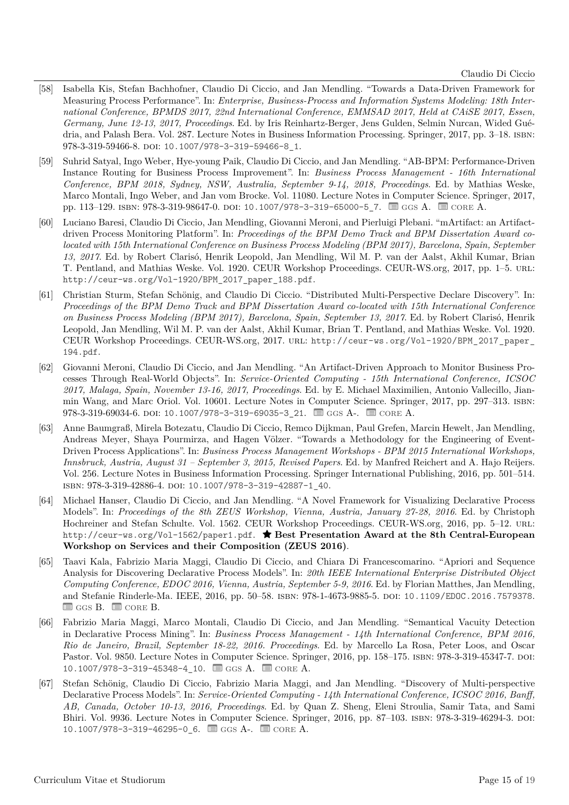- [58] Isabella Kis, Stefan Bachhofner, Claudio Di Ciccio, and Jan Mendling. "Towards a Data-Driven Framework for Measuring Process Performance". In: *Enterprise, Business-Process and Information Systems Modeling: 18th International Conference, BPMDS 2017, 22nd International Conference, EMMSAD 2017, Held at CAiSE 2017, Essen, Germany, June 12-13, 2017, Proceedings*. Ed. by Iris Reinhartz-Berger, Jens Gulden, Selmin Nurcan, Wided Guédria, and Palash Bera. Vol. 287. Lecture Notes in Business Information Processing. Springer, 2017, pp. 3–18. isbn: 978-3-319-59466-8. doi: [10.1007/978-3-319-59466-8\\_1](https://doi.org/10.1007/978-3-319-59466-8_1).
- [59] Suhrid Satyal, Ingo Weber, Hye-young Paik, Claudio Di Ciccio, and Jan Mendling. "AB-BPM: Performance-Driven Instance Routing for Business Process Improvement". In: *Business Process Management - 16th International Conference, BPM 2018, Sydney, NSW, Australia, September 9-14, 2018, Proceedings*. Ed. by Mathias Weske, Marco Montali, Ingo Weber, and Jan vom Brocke. Vol. 11080. Lecture Notes in Computer Science. Springer, 2017, pp. 113–129. ISBN: 978-3-319-98647-0. poi: 10.1007/978-3-319-65000-5. 7.  $\Box$  [ggs](http://gii-grin-scie-rating.scie.es) A.  $\Box$  [core](http://portal.core.edu.au/conf-ranks) A.
- [60] Luciano Baresi, Claudio Di Ciccio, Jan Mendling, Giovanni Meroni, and Pierluigi Plebani. "mArtifact: an Artifactdriven Process Monitoring Platform". In: *Proceedings of the BPM Demo Track and BPM Dissertation Award colocated with 15th International Conference on Business Process Modeling (BPM 2017), Barcelona, Spain, September 13, 2017*. Ed. by Robert Clarisó, Henrik Leopold, Jan Mendling, Wil M. P. van der Aalst, Akhil Kumar, Brian T. Pentland, and Mathias Weske. Vol. 1920. CEUR Workshop Proceedings. CEUR-WS.org, 2017, pp. 1–5. url: [http://ceur-ws.org/Vol-1920/BPM\\_2017\\_paper\\_188.pdf](http://ceur-ws.org/Vol-1920/BPM_2017_paper_188.pdf).
- [61] Christian Sturm, Stefan Schönig, and Claudio Di Ciccio. "Distributed Multi-Perspective Declare Discovery". In: *Proceedings of the BPM Demo Track and BPM Dissertation Award co-located with 15th International Conference on Business Process Modeling (BPM 2017), Barcelona, Spain, September 13, 2017*. Ed. by Robert Clarisó, Henrik Leopold, Jan Mendling, Wil M. P. van der Aalst, Akhil Kumar, Brian T. Pentland, and Mathias Weske. Vol. 1920. CEUR Workshop Proceedings. CEUR-WS.org, 2017. url: [http://ceur-ws.org/Vol-1920/BPM\\_2017\\_paper\\_](http://ceur-ws.org/Vol-1920/BPM_2017_paper_194.pdf) [194.pdf](http://ceur-ws.org/Vol-1920/BPM_2017_paper_194.pdf).
- [62] Giovanni Meroni, Claudio Di Ciccio, and Jan Mendling. "An Artifact-Driven Approach to Monitor Business Processes Through Real-World Objects". In: *Service-Oriented Computing - 15th International Conference, ICSOC 2017, Malaga, Spain, November 13-16, 2017, Proceedings*. Ed. by E. Michael Maximilien, Antonio Vallecillo, Jianmin Wang, and Marc Oriol. Vol. 10601. Lecture Notes in Computer Science. Springer, 2017, pp. 297–313. isbn:  $978-3-319-69034-6.$  DOI: 10.1007/978-3-319-69035-3 21.  $\equiv$  GGs A-.  $\equiv$  CORE A.
- [63] Anne Baumgraß, Mirela Botezatu, Claudio Di Ciccio, Remco Dijkman, Paul Grefen, Marcin Hewelt, Jan Mendling, Andreas Meyer, Shaya Pourmirza, and Hagen Völzer. "Towards a Methodology for the Engineering of Event-Driven Process Applications". In: *Business Process Management Workshops - BPM 2015 International Workshops, Innsbruck, Austria, August 31 – September 3, 2015, Revised Papers*. Ed. by Manfred Reichert and A. Hajo Reijers. Vol. 256. Lecture Notes in Business Information Processing. Springer International Publishing, 2016, pp. 501–514. isbn: 978-3-319-42886-4. doi: [10.1007/978-3-319-42887-1\\_40](https://doi.org/10.1007/978-3-319-42887-1_40).
- <span id="page-14-0"></span>[64] Michael Hanser, Claudio Di Ciccio, and Jan Mendling. "A Novel Framework for Visualizing Declarative Process Models". In: *Proceedings of the 8th ZEUS Workshop, Vienna, Austria, January 27-28, 2016*. Ed. by Christoph Hochreiner and Stefan Schulte. Vol. 1562. CEUR Workshop Proceedings. CEUR-WS.org, 2016, pp. 5–12. url: <http://ceur-ws.org/Vol-1562/paper1.pdf>. � **Best Presentation Award at the 8th Central-European Workshop on Services and their Composition (ZEUS 2016)**.
- [65] Taavi Kala, Fabrizio Maria Maggi, Claudio Di Ciccio, and Chiara Di Francescomarino. "Apriori and Sequence Analysis for Discovering Declarative Process Models". In: *20th IEEE International Enterprise Distributed Object Computing Conference, EDOC 2016, Vienna, Austria, September 5-9, 2016*. Ed. by Florian Matthes, Jan Mendling, and Stefanie Rinderle-Ma. IEEE, 2016, pp. 50–58. isbn: 978-1-4673-9885-5. doi: [10.1109/EDOC.2016.7579378](https://doi.org/10.1109/EDOC.2016.7579378).  $\equiv$  GGs B.  $\equiv$  CORE B.
- <span id="page-14-1"></span>[66] Fabrizio Maria Maggi, Marco Montali, Claudio Di Ciccio, and Jan Mendling. "Semantical Vacuity Detection in Declarative Process Mining". In: *Business Process Management - 14th International Conference, BPM 2016, Rio de Janeiro, Brazil, September 18-22, 2016. Proceedings*. Ed. by Marcello La Rosa, Peter Loos, and Oscar Pastor. Vol. 9850. Lecture Notes in Computer Science. Springer, 2016, pp. 158–175. ISBN: 978-3-319-45347-7. DOI: 10.1007/978-3-319-45348-4 10.  $\equiv$  GGS A.  $\equiv$  CORE A.
- [67] Stefan Schönig, Claudio Di Ciccio, Fabrizio Maria Maggi, and Jan Mendling. "Discovery of Multi-perspective Declarative Process Models". In: *Service-Oriented Computing - 14th International Conference, ICSOC 2016, Banff, AB, Canada, October 10-13, 2016, Proceedings*. Ed. by Quan Z. Sheng, Eleni Stroulia, Samir Tata, and Sami Bhiri. Vol. 9936. Lecture Notes in Computer Science. Springer, 2016, pp. 87–103. isbn: 978-3-319-46294-3. doi: 10.1007/978-3-319-46295-0 6.  $\equiv$  GGS A-.  $\equiv$  CORE A.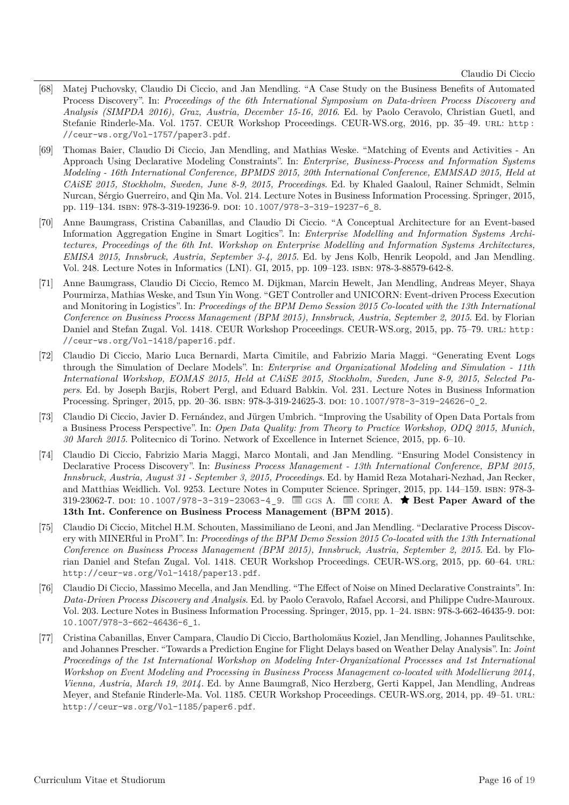- <span id="page-15-2"></span>[68] Matej Puchovsky, Claudio Di Ciccio, and Jan Mendling. "A Case Study on the Business Benefits of Automated Process Discovery". In: *Proceedings of the 6th International Symposium on Data-driven Process Discovery and Analysis (SIMPDA 2016), Graz, Austria, December 15-16, 2016*. Ed. by Paolo Ceravolo, Christian Guetl, and Stefanie Rinderle-Ma. Vol. 1757. CEUR Workshop Proceedings. CEUR-WS.org, 2016, pp. 35–49. url: [http :](http://ceur-ws.org/Vol-1757/paper3.pdf) [//ceur-ws.org/Vol-1757/paper3.pdf](http://ceur-ws.org/Vol-1757/paper3.pdf).
- [69] Thomas Baier, Claudio Di Ciccio, Jan Mendling, and Mathias Weske. "Matching of Events and Activities An Approach Using Declarative Modeling Constraints". In: *Enterprise, Business-Process and Information Systems Modeling - 16th International Conference, BPMDS 2015, 20th International Conference, EMMSAD 2015, Held at CAiSE 2015, Stockholm, Sweden, June 8-9, 2015, Proceedings*. Ed. by Khaled Gaaloul, Rainer Schmidt, Selmin Nurcan, Sérgio Guerreiro, and Qin Ma. Vol. 214. Lecture Notes in Business Information Processing. Springer, 2015, pp. 119-134. ISBN: 978-3-319-19236-9. DOI: 10.1007/978-3-319-19237-6 8.
- [70] Anne Baumgrass, Cristina Cabanillas, and Claudio Di Ciccio. "A Conceptual Architecture for an Event-based Information Aggregation Engine in Smart Logitics". In: *Enterprise Modelling and Information Systems Architectures, Proceedings of the 6th Int. Workshop on Enterprise Modelling and Information Systems Architectures, EMISA 2015, Innsbruck, Austria, September 3-4, 2015*. Ed. by Jens Kolb, Henrik Leopold, and Jan Mendling. Vol. 248. Lecture Notes in Informatics (LNI). GI, 2015, pp. 109–123. isbn: 978-3-88579-642-8.
- [71] Anne Baumgrass, Claudio Di Ciccio, Remco M. Dijkman, Marcin Hewelt, Jan Mendling, Andreas Meyer, Shaya Pourmirza, Mathias Weske, and Tsun Yin Wong. "GET Controller and UNICORN: Event-driven Process Execution and Monitoring in Logistics". In: *Proceedings of the BPM Demo Session 2015 Co-located with the 13th International Conference on Business Process Management (BPM 2015), Innsbruck, Austria, September 2, 2015*. Ed. by Florian Daniel and Stefan Zugal. Vol. 1418. CEUR Workshop Proceedings. CEUR-WS.org, 2015, pp. 75–79. url: [http:](http://ceur-ws.org/Vol-1418/paper16.pdf) [//ceur-ws.org/Vol-1418/paper16.pdf](http://ceur-ws.org/Vol-1418/paper16.pdf).
- [72] Claudio Di Ciccio, Mario Luca Bernardi, Marta Cimitile, and Fabrizio Maria Maggi. "Generating Event Logs through the Simulation of Declare Models". In: *Enterprise and Organizational Modeling and Simulation - 11th International Workshop, EOMAS 2015, Held at CAiSE 2015, Stockholm, Sweden, June 8-9, 2015, Selected Papers*. Ed. by Joseph Barjis, Robert Pergl, and Eduard Babkin. Vol. 231. Lecture Notes in Business Information Processing. Springer, 2015, pp. 20–36. isbn: 978-3-319-24625-3. doi: [10.1007/978-3-319-24626-0\\_2](https://doi.org/10.1007/978-3-319-24626-0_2).
- [73] Claudio Di Ciccio, Javier D. Fernández, and Jürgen Umbrich. "Improving the Usability of Open Data Portals from a Business Process Perspective". In: *Open Data Quality: from Theory to Practice Workshop, ODQ 2015, Munich, 30 March 2015*. Politecnico di Torino. Network of Excellence in Internet Science, 2015, pp. 6–10.
- <span id="page-15-0"></span>[74] Claudio Di Ciccio, Fabrizio Maria Maggi, Marco Montali, and Jan Mendling. "Ensuring Model Consistency in Declarative Process Discovery". In: *Business Process Management - 13th International Conference, BPM 2015, Innsbruck, Austria, August 31 - September 3, 2015, Proceedings*. Ed. by Hamid Reza Motahari-Nezhad, Jan Recker, and Matthias Weidlich. Vol. 9253. Lecture Notes in Computer Science. Springer, 2015, pp. 144–159. isbn: 978-3- 319-23062-7. doi: [10.1007/978-3-319-23063-4\\_9](https://doi.org/10.1007/978-3-319-23063-4_9). � [ggs](http://gii-grin-scie-rating.scie.es) A. � [core](http://portal.core.edu.au/conf-ranks) A. � **Best Paper Award of the 13th Int. Conference on Business Process Management (BPM 2015)**.
- [75] Claudio Di Ciccio, Mitchel H.M. Schouten, Massimiliano de Leoni, and Jan Mendling. "Declarative Process Discovery with MINERful in ProM". In: *Proceedings of the BPM Demo Session 2015 Co-located with the 13th International Conference on Business Process Management (BPM 2015), Innsbruck, Austria, September 2, 2015*. Ed. by Florian Daniel and Stefan Zugal. Vol. 1418. CEUR Workshop Proceedings. CEUR-WS.org, 2015, pp. 60–64. url: <http://ceur-ws.org/Vol-1418/paper13.pdf>.
- [76] Claudio Di Ciccio, Massimo Mecella, and Jan Mendling. "The Effect of Noise on Mined Declarative Constraints". In: *Data-Driven Process Discovery and Analysis*. Ed. by Paolo Ceravolo, Rafael Accorsi, and Philippe Cudre-Mauroux. Vol. 203. Lecture Notes in Business Information Processing. Springer, 2015, pp. 1–24. ISBN: 978-3-662-46435-9. DOI: [10.1007/978-3-662-46436-6\\_1](https://doi.org/10.1007/978-3-662-46436-6_1).
- <span id="page-15-1"></span>[77] Cristina Cabanillas, Enver Campara, Claudio Di Ciccio, Bartholomäus Koziel, Jan Mendling, Johannes Paulitschke, and Johannes Prescher. "Towards a Prediction Engine for Flight Delays based on Weather Delay Analysis". In: *Joint Proceedings of the 1st International Workshop on Modeling Inter-Organizational Processes and 1st International Workshop on Event Modeling and Processing in Business Process Management co-located with Modellierung 2014, Vienna, Austria, March 19, 2014.* Ed. by Anne Baumgraß, Nico Herzberg, Gerti Kappel, Jan Mendling, Andreas Meyer, and Stefanie Rinderle-Ma. Vol. 1185. CEUR Workshop Proceedings. CEUR-WS.org, 2014, pp. 49–51. url: <http://ceur-ws.org/Vol-1185/paper6.pdf>.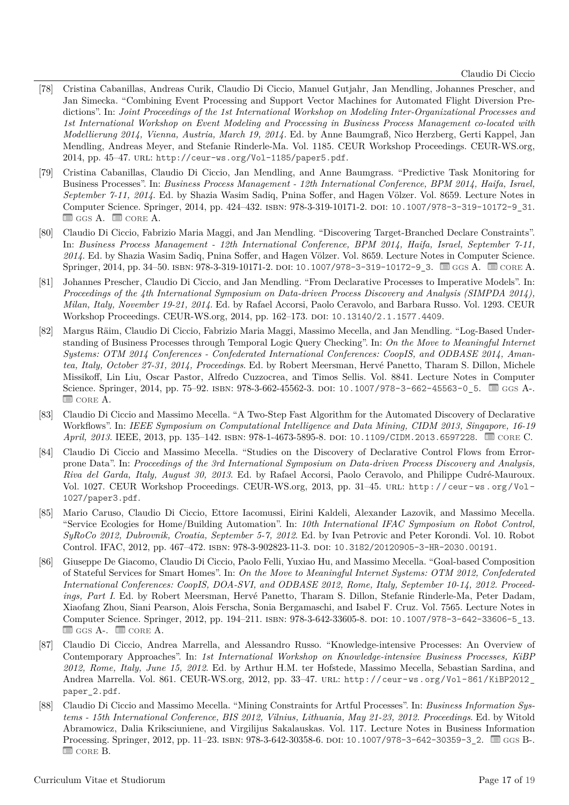- <span id="page-16-8"></span>[78] Cristina Cabanillas, Andreas Curik, Claudio Di Ciccio, Manuel Gutjahr, Jan Mendling, Johannes Prescher, and Jan Simecka. "Combining Event Processing and Support Vector Machines for Automated Flight Diversion Predictions". In: *Joint Proceedings of the 1st International Workshop on Modeling Inter-Organizational Processes and 1st International Workshop on Event Modeling and Processing in Business Process Management co-located with Modellierung 2014, Vienna, Austria, March 19, 2014.* Ed. by Anne Baumgraß, Nico Herzberg, Gerti Kappel, Jan Mendling, Andreas Meyer, and Stefanie Rinderle-Ma. Vol. 1185. CEUR Workshop Proceedings. CEUR-WS.org, 2014, pp. 45–47. url: <http://ceur-ws.org/Vol-1185/paper5.pdf>.
- <span id="page-16-2"></span>[79] Cristina Cabanillas, Claudio Di Ciccio, Jan Mendling, and Anne Baumgrass. "Predictive Task Monitoring for Business Processes". In: *Business Process Management - 12th International Conference, BPM 2014, Haifa, Israel, September 7-11, 2014*. Ed. by Shazia Wasim Sadiq, Pnina Soffer, and Hagen Völzer. Vol. 8659. Lecture Notes in Computer Science. Springer, 2014, pp. 424–432. ISBN: 978-3-319-10171-2. DOI: [10.1007/978-3-319-10172-9\\_31](https://doi.org/10.1007/978-3-319-10172-9_31).  $\equiv$  GGS A.  $\equiv$  CORE A.
- <span id="page-16-1"></span>[80] Claudio Di Ciccio, Fabrizio Maria Maggi, and Jan Mendling. "Discovering Target-Branched Declare Constraints". In: *Business Process Management - 12th International Conference, BPM 2014, Haifa, Israel, September 7-11, 2014*. Ed. by Shazia Wasim Sadiq, Pnina Soffer, and Hagen Völzer. Vol. 8659. Lecture Notes in Computer Science. Springer, 2014, pp. 34–50. ISBN: 978-3-319-10171-2. DOI: [10.1007/978-3-319-10172-9\\_3](https://doi.org/10.1007/978-3-319-10172-9_3). ■ GGS A. ■ CORE A.
- <span id="page-16-9"></span>[81] Johannes Prescher, Claudio Di Ciccio, and Jan Mendling. "From Declarative Processes to Imperative Models". In: *Proceedings of the 4th International Symposium on Data-driven Process Discovery and Analysis (SIMPDA 2014), Milan, Italy, November 19-21, 2014*. Ed. by Rafael Accorsi, Paolo Ceravolo, and Barbara Russo. Vol. 1293. CEUR Workshop Proceedings. CEUR-WS.org, 2014, pp. 162–173. doi: [10.13140/2.1.1577.4409](https://doi.org/10.13140/2.1.1577.4409).
- <span id="page-16-0"></span>[82] Margus Räim, Claudio Di Ciccio, Fabrizio Maria Maggi, Massimo Mecella, and Jan Mendling. "Log-Based Understanding of Business Processes through Temporal Logic Query Checking". In: *On the Move to Meaningful Internet Systems: OTM 2014 Conferences - Confederated International Conferences: CoopIS, and ODBASE 2014, Amantea, Italy, October 27-31, 2014, Proceedings*. Ed. by Robert Meersman, Hervé Panetto, Tharam S. Dillon, Michele Missikoff, Lin Liu, Oscar Pastor, Alfredo Cuzzocrea, and Timos Sellis. Vol. 8841. Lecture Notes in Computer Science. Springer, 2014, pp. 75–92. ISBN: 978-3-662-45562-3. DOI: [10.1007/978-3-662-45563-0\\_5](https://doi.org/10.1007/978-3-662-45563-0_5). ■ GGS A-.  $\equiv$  CORE A.
- <span id="page-16-4"></span>[83] Claudio Di Ciccio and Massimo Mecella. "A Two-Step Fast Algorithm for the Automated Discovery of Declarative Workflows". In: *IEEE Symposium on Computational Intelligence and Data Mining, CIDM 2013, Singapore, 16-19 April, 2013.* IEEE, 2013, pp. 135–142. ISBN: 978-1-4673-5895-8. DOI: [10.1109/CIDM.2013.6597228](https://doi.org/10.1109/CIDM.2013.6597228). **B** CORE C.
- <span id="page-16-3"></span>[84] Claudio Di Ciccio and Massimo Mecella. "Studies on the Discovery of Declarative Control Flows from Errorprone Data". In: *Proceedings of the 3rd International Symposium on Data-driven Process Discovery and Analysis, Riva del Garda, Italy, August 30, 2013*. Ed. by Rafael Accorsi, Paolo Ceravolo, and Philippe Cudré-Mauroux. Vol. 1027. CEUR Workshop Proceedings. CEUR-WS.org, 2013, pp. 31–45. url: [http : / / ceur - ws . org / Vol -](http://ceur-ws.org/Vol-1027/paper3.pdf) [1027/paper3.pdf](http://ceur-ws.org/Vol-1027/paper3.pdf).
- <span id="page-16-10"></span>[85] Mario Caruso, Claudio Di Ciccio, Ettore Iacomussi, Eirini Kaldeli, Alexander Lazovik, and Massimo Mecella. "Service Ecologies for Home/Building Automation". In: *10th International IFAC Symposium on Robot Control, SyRoCo 2012, Dubrovnik, Croatia, September 5-7, 2012*. Ed. by Ivan Petrovic and Peter Korondi. Vol. 10. Robot Control. IFAC, 2012, pp. 467–472. isbn: 978-3-902823-11-3. doi: [10.3182/20120905-3-HR-2030.00191](https://doi.org/10.3182/20120905-3-HR-2030.00191).
- <span id="page-16-5"></span>[86] Giuseppe De Giacomo, Claudio Di Ciccio, Paolo Felli, Yuxiao Hu, and Massimo Mecella. "Goal-based Composition of Stateful Services for Smart Homes". In: *On the Move to Meaningful Internet Systems: OTM 2012, Confederated International Conferences: CoopIS, DOA-SVI, and ODBASE 2012, Rome, Italy, September 10-14, 2012. Proceedings, Part I*. Ed. by Robert Meersman, Hervé Panetto, Tharam S. Dillon, Stefanie Rinderle-Ma, Peter Dadam, Xiaofang Zhou, Siani Pearson, Alois Ferscha, Sonia Bergamaschi, and Isabel F. Cruz. Vol. 7565. Lecture Notes in Computer Science. Springer, 2012, pp. 194–211. ISBN: 978-3-642-33605-8. DOI: [10.1007/978-3-642-33606-5\\_13](https://doi.org/10.1007/978-3-642-33606-5_13).  $\equiv$  GGS A-.  $\equiv$  CORE A.
- <span id="page-16-6"></span>[87] Claudio Di Ciccio, Andrea Marrella, and Alessandro Russo. "Knowledge-intensive Processes: An Overview of Contemporary Approaches". In: *1st International Workshop on Knowledge-intensive Business Processes, KiBP 2012, Rome, Italy, June 15, 2012*. Ed. by Arthur H.M. ter Hofstede, Massimo Mecella, Sebastian Sardina, and Andrea Marrella. Vol. 861. CEUR-WS.org, 2012, pp. 33–47. url: [http://ceur-ws.org/Vol-861/KiBP2012\\_](http://ceur-ws.org/Vol-861/KiBP2012_paper_2.pdf) [paper\\_2.pdf](http://ceur-ws.org/Vol-861/KiBP2012_paper_2.pdf).
- <span id="page-16-7"></span>[88] Claudio Di Ciccio and Massimo Mecella. "Mining Constraints for Artful Processes". In: *Business Information Systems - 15th International Conference, BIS 2012, Vilnius, Lithuania, May 21-23, 2012. Proceedings*. Ed. by Witold Abramowicz, Dalia Kriksciuniene, and Virgilijus Sakalauskas. Vol. 117. Lecture Notes in Business Information Processing. Springer, 2012, pp. 11–23. ISBN: 978-3-642-30358-6. DOI: [10.1007/978-3-642-30359-3\\_2](https://doi.org/10.1007/978-3-642-30359-3_2). *■ GGS B-.*  $\blacksquare$  CORE B.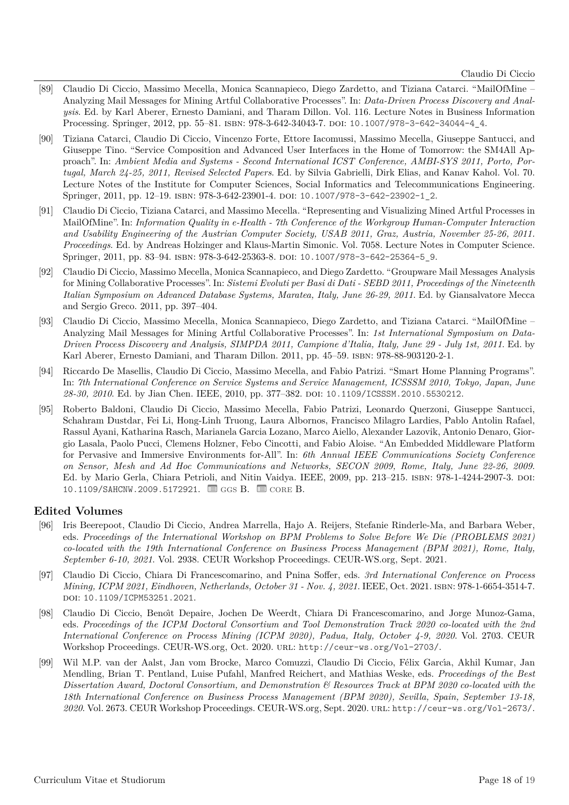- [89] Claudio Di Ciccio, Massimo Mecella, Monica Scannapieco, Diego Zardetto, and Tiziana Catarci. "MailOfMine Analyzing Mail Messages for Mining Artful Collaborative Processes". In: *Data-Driven Process Discovery and Analysis*. Ed. by Karl Aberer, Ernesto Damiani, and Tharam Dillon. Vol. 116. Lecture Notes in Business Information Processing. Springer, 2012, pp. 55–81. ISBN: 978-3-642-34043-7. DOI: [10.1007/978-3-642-34044-4\\_4](https://doi.org/10.1007/978-3-642-34044-4_4).
- <span id="page-17-2"></span>[90] Tiziana Catarci, Claudio Di Ciccio, Vincenzo Forte, Ettore Iacomussi, Massimo Mecella, Giuseppe Santucci, and Giuseppe Tino. "Service Composition and Advanced User Interfaces in the Home of Tomorrow: the SM4All Approach". In: *Ambient Media and Systems - Second International ICST Conference, AMBI-SYS 2011, Porto, Portugal, March 24-25, 2011, Revised Selected Papers*. Ed. by Silvia Gabrielli, Dirk Elias, and Kanav Kahol. Vol. 70. Lecture Notes of the Institute for Computer Sciences, Social Informatics and Telecommunications Engineering. Springer, 2011, pp. 12-19. ISBN: 978-3-642-23901-4. poi: [10.1007/978-3-642-23902-1\\_2](https://doi.org/10.1007/978-3-642-23902-1_2).
- <span id="page-17-0"></span>[91] Claudio Di Ciccio, Tiziana Catarci, and Massimo Mecella. "Representing and Visualizing Mined Artful Processes in MailOfMine". In: *Information Quality in e-Health - 7th Conference of the Workgroup Human-Computer Interaction and Usability Engineering of the Austrian Computer Society, USAB 2011, Graz, Austria, November 25-26, 2011. Proceedings*. Ed. by Andreas Holzinger and Klaus-Martin Simonic. Vol. 7058. Lecture Notes in Computer Science. Springer, 2011, pp. 83-94. ISBN: 978-3-642-25363-8. DOI: [10.1007/978-3-642-25364-5\\_9](https://doi.org/10.1007/978-3-642-25364-5_9).
- [92] Claudio Di Ciccio, Massimo Mecella, Monica Scannapieco, and Diego Zardetto. "Groupware Mail Messages Analysis for Mining Collaborative Processes". In: *Sistemi Evoluti per Basi di Dati - SEBD 2011, Proceedings of the Nineteenth Italian Symposium on Advanced Database Systems, Maratea, Italy, June 26-29, 2011*. Ed. by Giansalvatore Mecca and Sergio Greco. 2011, pp. 397–404.
- <span id="page-17-1"></span>[93] Claudio Di Ciccio, Massimo Mecella, Monica Scannapieco, Diego Zardetto, and Tiziana Catarci. "MailOfMine – Analyzing Mail Messages for Mining Artful Collaborative Processes". In: *1st International Symposium on Data-Driven Process Discovery and Analysis, SIMPDA 2011, Campione d'Italia, Italy, June 29 - July 1st, 2011*. Ed. by Karl Aberer, Ernesto Damiani, and Tharam Dillon. 2011, pp. 45–59. ISBN: 978-88-903120-2-1.
- [94] Riccardo De Masellis, Claudio Di Ciccio, Massimo Mecella, and Fabio Patrizi. "Smart Home Planning Programs". In: *7th International Conference on Service Systems and Service Management, ICSSSM 2010, Tokyo, Japan, June 28-30, 2010*. Ed. by Jian Chen. IEEE, 2010, pp. 377–382. doi: [10.1109/ICSSSM.2010.5530212](https://doi.org/10.1109/ICSSSM.2010.5530212).
- [95] Roberto Baldoni, Claudio Di Ciccio, Massimo Mecella, Fabio Patrizi, Leonardo Querzoni, Giuseppe Santucci, Schahram Dustdar, Fei Li, Hong-Linh Truong, Laura Albornos, Francisco Milagro Lardies, Pablo Antolin Rafael, Rassul Ayani, Katharina Rasch, Marianela Garcia Lozano, Marco Aiello, Alexander Lazovik, Antonio Denaro, Giorgio Lasala, Paolo Pucci, Clemens Holzner, Febo Cincotti, and Fabio Aloise. "An Embedded Middleware Platform for Pervasive and Immersive Environments for-All". In: *6th Annual IEEE Communications Society Conference on Sensor, Mesh and Ad Hoc Communications and Networks, SECON 2009, Rome, Italy, June 22-26, 2009*. Ed. by Mario Gerla, Chiara Petrioli, and Nitin Vaidya. IEEE, 2009, pp. 213–215. isbn: 978-1-4244-2907-3. doi: [10.1109/SAHCNW.2009.5172921](https://doi.org/10.1109/SAHCNW.2009.5172921). **@** GGS B. **@ CORE B.**

#### **Edited Volumes**

- [96] Iris Beerepoot, Claudio Di Ciccio, Andrea Marrella, Hajo A. Reijers, Stefanie Rinderle-Ma, and Barbara Weber, eds. *Proceedings of the International Workshop on BPM Problems to Solve Before We Die (PROBLEMS 2021) co-located with the 19th International Conference on Business Process Management (BPM 2021), Rome, Italy, September 6-10, 2021*. Vol. 2938. CEUR Workshop Proceedings. CEUR-WS.org, Sept. 2021.
- [97] Claudio Di Ciccio, Chiara Di Francescomarino, and Pnina Soffer, eds. *3rd International Conference on Process Mining, ICPM 2021, Eindhoven, Netherlands, October 31 - Nov. 4, 2021*. IEEE, Oct. 2021. isbn: 978-1-6654-3514-7. doi: [10.1109/ICPM53251.2021](https://doi.org/10.1109/ICPM53251.2021).
- [98] Claudio Di Ciccio, Benoît Depaire, Jochen De Weerdt, Chiara Di Francescomarino, and Jorge Munoz-Gama, eds. *Proceedings of the ICPM Doctoral Consortium and Tool Demonstration Track 2020 co-located with the 2nd International Conference on Process Mining (ICPM 2020), Padua, Italy, October 4-9, 2020*. Vol. 2703. CEUR Workshop Proceedings. CEUR-WS.org, Oct. 2020. url: <http://ceur-ws.org/Vol-2703/>.
- [99] Wil M.P. van der Aalst, Jan vom Brocke, Marco Comuzzi, Claudio Di Ciccio, Félix Garcı́a, Akhil Kumar, Jan Mendling, Brian T. Pentland, Luise Pufahl, Manfred Reichert, and Mathias Weske, eds. *Proceedings of the Best Dissertation Award, Doctoral Consortium, and Demonstration & Resources Track at BPM 2020 co-located with the 18th International Conference on Business Process Management (BPM 2020), Sevilla, Spain, September 13-18, 2020*. Vol. 2673. CEUR Workshop Proceedings. CEUR-WS.org, Sept. 2020. url: <http://ceur-ws.org/Vol-2673/>.